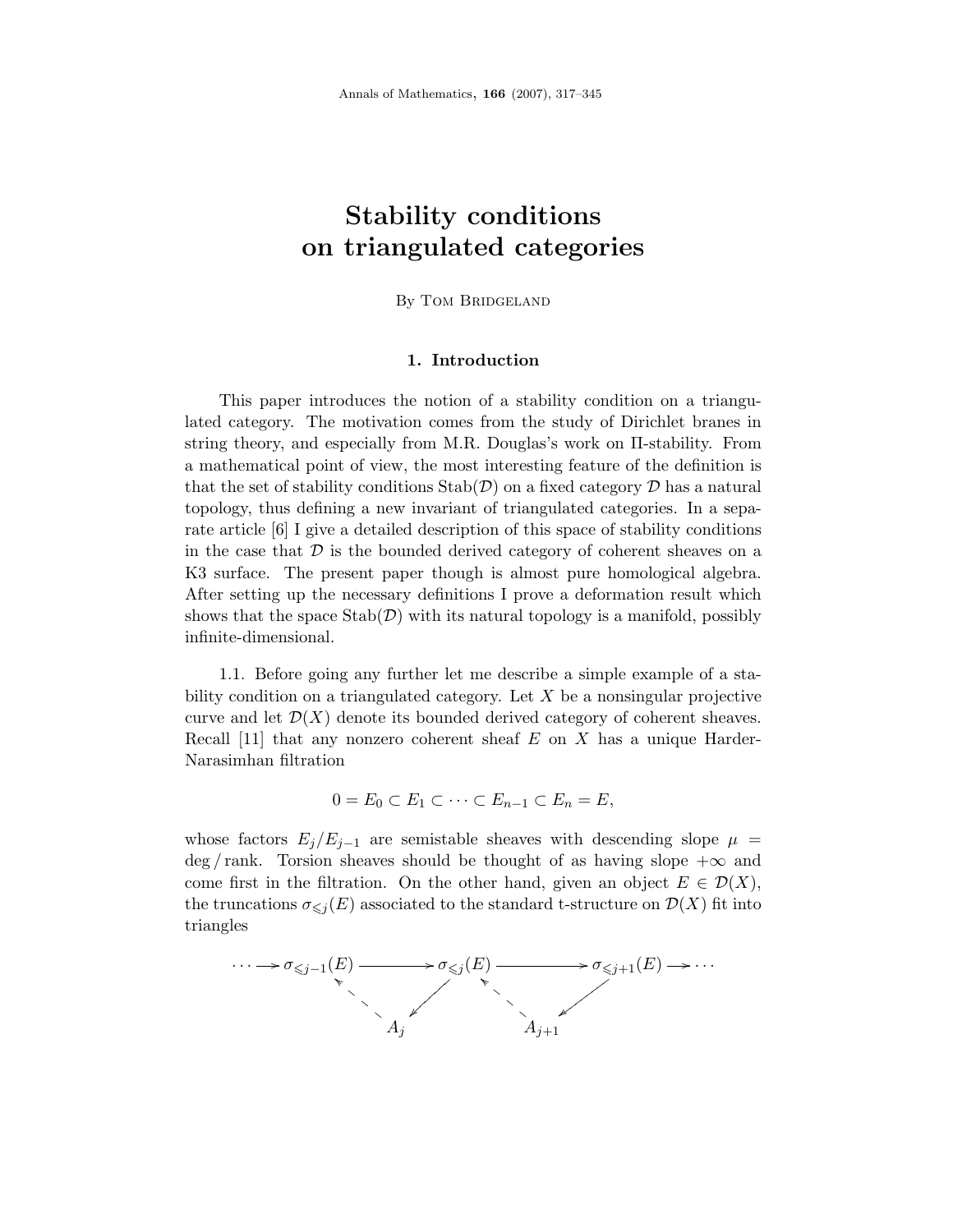# **Stability conditions on triangulated categories**

# By Tom Bridgeland

#### **1. Introduction**

This paper introduces the notion of a stability condition on a triangulated category. The motivation comes from the study of Dirichlet branes in string theory, and especially from M.R. Douglas's work on Π-stability. From a mathematical point of view, the most interesting feature of the definition is that the set of stability conditions  $\text{Stab}(\mathcal{D})$  on a fixed category  $\mathcal D$  has a natural topology, thus defining a new invariant of triangulated categories. In a separate article [6] I give a detailed description of this space of stability conditions in the case that  $\mathcal D$  is the bounded derived category of coherent sheaves on a K3 surface. The present paper though is almost pure homological algebra. After setting up the necessary definitions I prove a deformation result which shows that the space  $\text{Stab}(\mathcal{D})$  with its natural topology is a manifold, possibly infinite-dimensional.

1.1. Before going any further let me describe a simple example of a stability condition on a triangulated category. Let *X* be a nonsingular projective curve and let  $\mathcal{D}(X)$  denote its bounded derived category of coherent sheaves. Recall [11] that any nonzero coherent sheaf *E* on *X* has a unique Harder-Narasimhan filtration

$$
0=E_0\subset E_1\subset\cdots\subset E_{n-1}\subset E_n=E,
$$

whose factors  $E_j/E_{j-1}$  are semistable sheaves with descending slope  $\mu$  $\deg / \text{rank}$ . Torsion sheaves should be thought of as having slope  $+\infty$  and come first in the filtration. On the other hand, given an object  $E \in \mathcal{D}(X)$ , the truncations  $\sigma_{\leq j}(E)$  associated to the standard t-structure on  $\mathcal{D}(X)$  fit into triangles

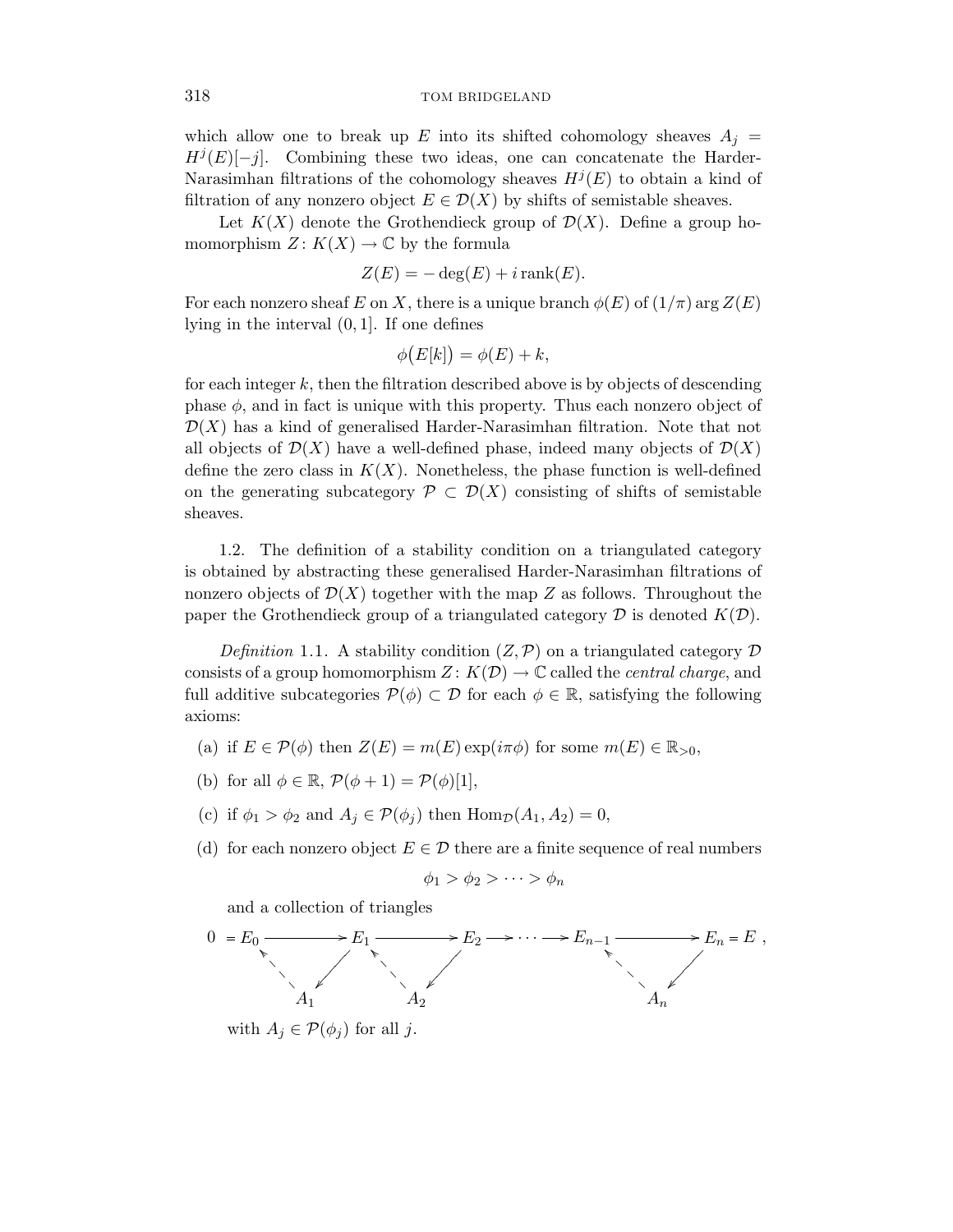which allow one to break up *E* into its shifted cohomology sheaves  $A_i =$  $H^{j}(E)[-j]$ . Combining these two ideas, one can concatenate the Harder-Narasimhan filtrations of the cohomology sheaves  $H^{j}(E)$  to obtain a kind of filtration of any nonzero object  $E \in \mathcal{D}(X)$  by shifts of semistable sheaves.

Let  $K(X)$  denote the Grothendieck group of  $\mathcal{D}(X)$ . Define a group homomorphism  $Z: K(X) \to \mathbb{C}$  by the formula

$$
Z(E) = -\deg(E) + i\operatorname{rank}(E).
$$

For each nonzero sheaf *E* on *X*, there is a unique branch  $\phi(E)$  of  $(1/\pi)$  arg  $Z(E)$ lying in the interval (0*,* 1]. If one defines

$$
\phi(E[k]) = \phi(E) + k,
$$

for each integer *k*, then the filtration described above is by objects of descending phase  $\phi$ , and in fact is unique with this property. Thus each nonzero object of  $\mathcal{D}(X)$  has a kind of generalised Harder-Narasimhan filtration. Note that not all objects of  $\mathcal{D}(X)$  have a well-defined phase, indeed many objects of  $\mathcal{D}(X)$ define the zero class in  $K(X)$ . Nonetheless, the phase function is well-defined on the generating subcategory  $\mathcal{P} \subset \mathcal{D}(X)$  consisting of shifts of semistable sheaves.

1.2. The definition of a stability condition on a triangulated category is obtained by abstracting these generalised Harder-Narasimhan filtrations of nonzero objects of  $\mathcal{D}(X)$  together with the map Z as follows. Throughout the paper the Grothendieck group of a triangulated category  $D$  is denoted  $K(D)$ .

Definition 1.1. A stability condition  $(Z, \mathcal{P})$  on a triangulated category  $\mathcal D$ consists of a group homomorphism  $Z: K(\mathcal{D}) \to \mathbb{C}$  called the *central charge*, and full additive subcategories  $\mathcal{P}(\phi) \subset \mathcal{D}$  for each  $\phi \in \mathbb{R}$ , satisfying the following axioms:

- (a) if  $E \in \mathcal{P}(\phi)$  then  $Z(E) = m(E) \exp(i\pi\phi)$  for some  $m(E) \in \mathbb{R}_{>0}$ ,
- (b) for all  $\phi \in \mathbb{R}$ ,  $\mathcal{P}(\phi + 1) = \mathcal{P}(\phi)[1]$ ,
- (c) if  $\phi_1 > \phi_2$  and  $A_i \in \mathcal{P}(\phi_i)$  then  $\text{Hom}_{\mathcal{D}}(A_1, A_2) = 0$ ,
- (d) for each nonzero object  $E \in \mathcal{D}$  there are a finite sequence of real numbers

$$
\phi_1 > \phi_2 > \cdots > \phi_n
$$

and a collection of triangles

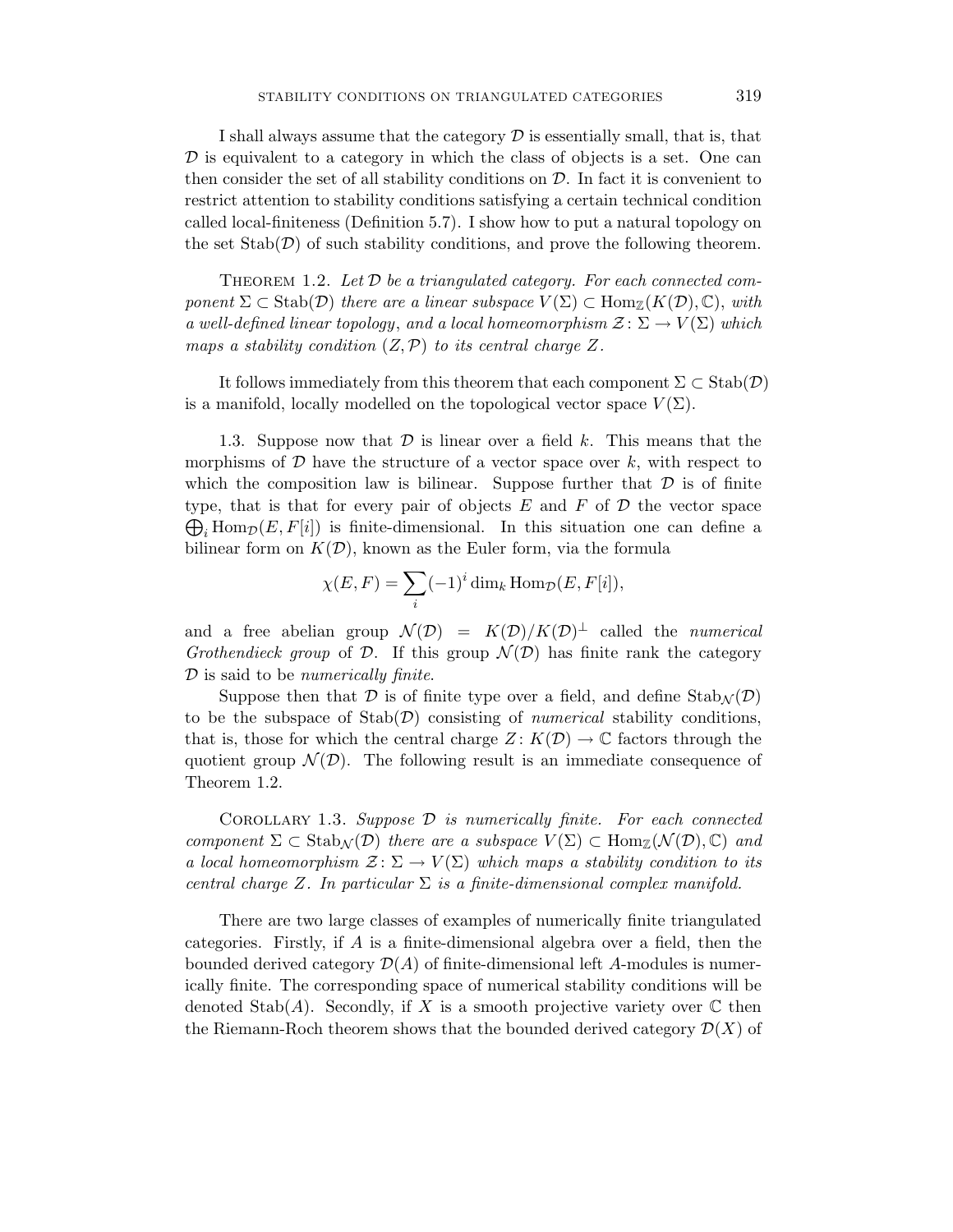I shall always assume that the category  $\mathcal D$  is essentially small, that is, that  $\mathcal D$  is equivalent to a category in which the class of objects is a set. One can then consider the set of all stability conditions on  $D$ . In fact it is convenient to restrict attention to stability conditions satisfying a certain technical condition called local-finiteness (Definition 5.7). I show how to put a natural topology on the set  $\text{Stab}(\mathcal{D})$  of such stability conditions, and prove the following theorem.

THEOREM 1.2. Let  $\mathcal D$  be a triangulated category. For each connected component  $\Sigma \subset \text{Stab}(\mathcal{D})$  there are a linear subspace  $V(\Sigma) \subset \text{Hom}_{\mathbb{Z}}(K(\mathcal{D}), \mathbb{C})$ , with a well-defined linear topology, and a local homeomorphism  $\mathcal{Z} \colon \Sigma \to V(\Sigma)$  which maps a stability condition  $(Z, \mathcal{P})$  to its central charge Z.

It follows immediately from this theorem that each component  $\Sigma \subset \text{Stab}(\mathcal{D})$ is a manifold, locally modelled on the topological vector space  $V(\Sigma)$ .

1.3. Suppose now that D is linear over a field *k*. This means that the morphisms of  $D$  have the structure of a vector space over  $k$ , with respect to which the composition law is bilinear. Suppose further that  $\mathcal D$  is of finite type, that is that for every pair of objects  $E$  and  $F$  of  $D$  the vector space  $\bigoplus_i$  Hom<sub>D</sub> $(E, F[i])$  is finite-dimensional. In this situation one can define a bilinear form on  $K(\mathcal{D})$ , known as the Euler form, via the formula

$$
\chi(E, F) = \sum_{i} (-1)^{i} \dim_{k} \text{Hom}_{\mathcal{D}}(E, F[i]),
$$

and a free abelian group  $\mathcal{N}(D) = K(D)/K(D)^{\perp}$  called the *numerical* Grothendieck group of D. If this group  $\mathcal{N}(D)$  has finite rank the category  $D$  is said to be *numerically finite*.

Suppose then that  $\mathcal D$  is of finite type over a field, and define  $\text{Stab}_{\mathcal N}(\mathcal D)$ to be the subspace of  $Stab(\mathcal{D})$  consisting of *numerical* stability conditions, that is, those for which the central charge  $Z: K(\mathcal{D}) \to \mathbb{C}$  factors through the quotient group  $\mathcal{N}(D)$ . The following result is an immediate consequence of Theorem 1.2.

COROLLARY 1.3. Suppose  $\mathcal D$  is numerically finite. For each connected component  $\Sigma \subset \text{Stab}_\mathcal{N}(\mathcal{D})$  there are a subspace  $V(\Sigma) \subset \text{Hom}_{\mathbb{Z}}(\mathcal{N}(\mathcal{D}), \mathbb{C})$  and a local homeomorphism  $\mathcal{Z} \colon \Sigma \to V(\Sigma)$  which maps a stability condition to its central charge *Z*. In particular  $\Sigma$  is a finite-dimensional complex manifold.

There are two large classes of examples of numerically finite triangulated categories. Firstly, if *A* is a finite-dimensional algebra over a field, then the bounded derived category D(*A*) of finite-dimensional left *A*-modules is numerically finite. The corresponding space of numerical stability conditions will be denoted Stab(A). Secondly, if X is a smooth projective variety over  $\mathbb C$  then the Riemann-Roch theorem shows that the bounded derived category  $\mathcal{D}(X)$  of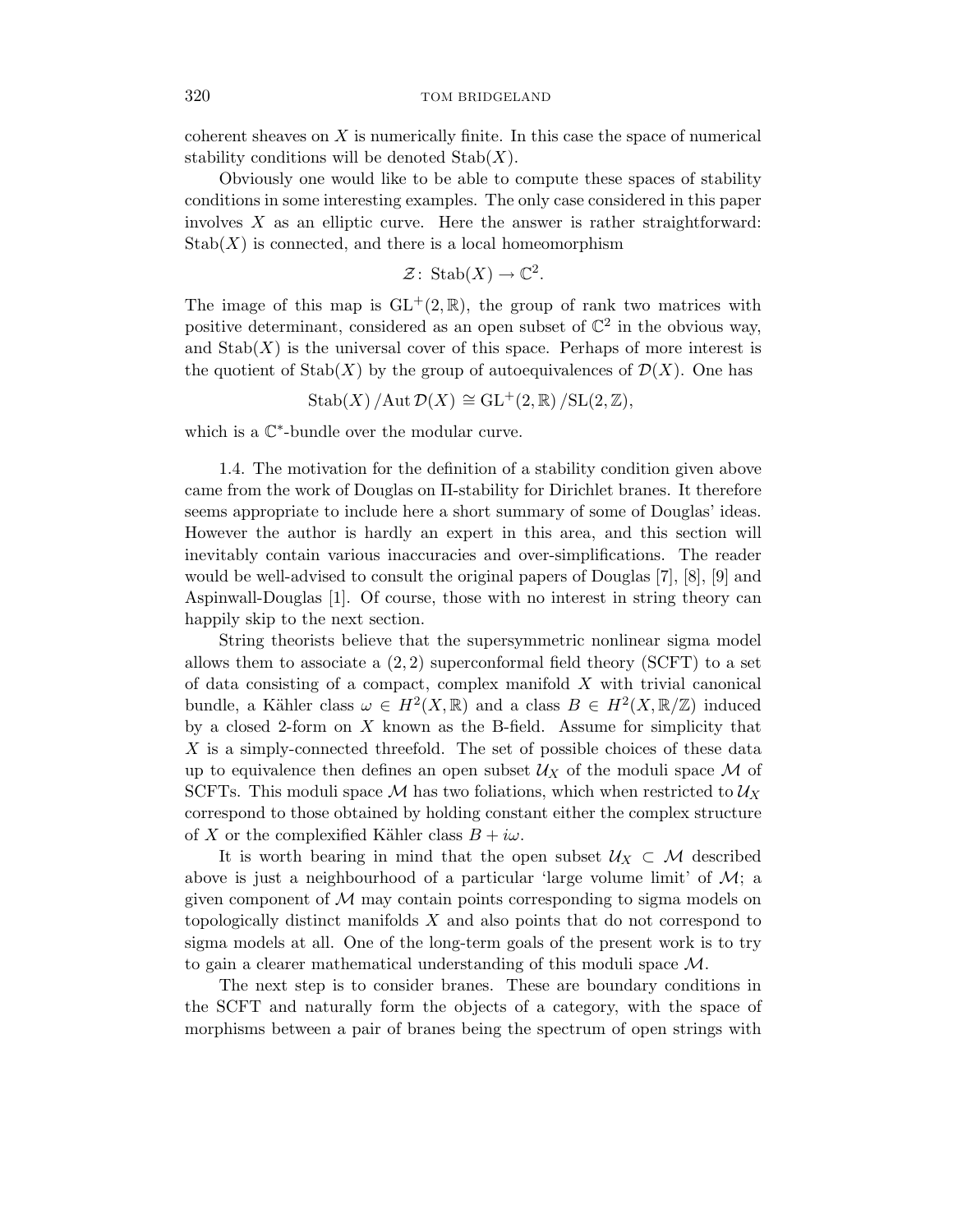coherent sheaves on *X* is numerically finite. In this case the space of numerical stability conditions will be denoted Stab(*X*).

Obviously one would like to be able to compute these spaces of stability conditions in some interesting examples. The only case considered in this paper involves *X* as an elliptic curve. Here the answer is rather straightforward:  $\mathrm{Stab}(X)$  is connected, and there is a local homeomorphism

$$
\mathcal{Z} \colon \operatorname{Stab}(X) \to \mathbb{C}^2.
$$

The image of this map is  $GL^+(2,\mathbb{R})$ , the group of rank two matrices with positive determinant, considered as an open subset of  $\mathbb{C}^2$  in the obvious way, and  $\text{Stab}(X)$  is the universal cover of this space. Perhaps of more interest is the quotient of  $\text{Stab}(X)$  by the group of autoequivalences of  $\mathcal{D}(X)$ . One has

 $\text{Stab}(X) / \text{Aut }\mathcal{D}(X) \cong \text{GL}^+(2,\mathbb{R}) / \text{SL}(2,\mathbb{Z}),$ 

which is a C∗-bundle over the modular curve.

1.4. The motivation for the definition of a stability condition given above came from the work of Douglas on Π-stability for Dirichlet branes. It therefore seems appropriate to include here a short summary of some of Douglas' ideas. However the author is hardly an expert in this area, and this section will inevitably contain various inaccuracies and over-simplifications. The reader would be well-advised to consult the original papers of Douglas [7], [8], [9] and Aspinwall-Douglas [1]. Of course, those with no interest in string theory can happily skip to the next section.

String theorists believe that the supersymmetric nonlinear sigma model allows them to associate a  $(2, 2)$  superconformal field theory (SCFT) to a set of data consisting of a compact, complex manifold *X* with trivial canonical bundle, a Kähler class  $\omega \in H^2(X,\mathbb{R})$  and a class  $B \in H^2(X,\mathbb{R}/\mathbb{Z})$  induced by a closed 2-form on *X* known as the B-field. Assume for simplicity that *X* is a simply-connected threefold. The set of possible choices of these data up to equivalence then defines an open subset  $\mathcal{U}_X$  of the moduli space M of SCFTs. This moduli space M has two foliations, which when restricted to  $\mathcal{U}_X$ correspond to those obtained by holding constant either the complex structure of *X* or the complexified Kähler class  $B + i\omega$ .

It is worth bearing in mind that the open subset  $U_X \subset \mathcal{M}$  described above is just a neighbourhood of a particular 'large volume limit' of  $\mathcal{M}$ ; a given component of  $\mathcal M$  may contain points corresponding to sigma models on topologically distinct manifolds *X* and also points that do not correspond to sigma models at all. One of the long-term goals of the present work is to try to gain a clearer mathematical understanding of this moduli space  $\mathcal{M}$ .

The next step is to consider branes. These are boundary conditions in the SCFT and naturally form the objects of a category, with the space of morphisms between a pair of branes being the spectrum of open strings with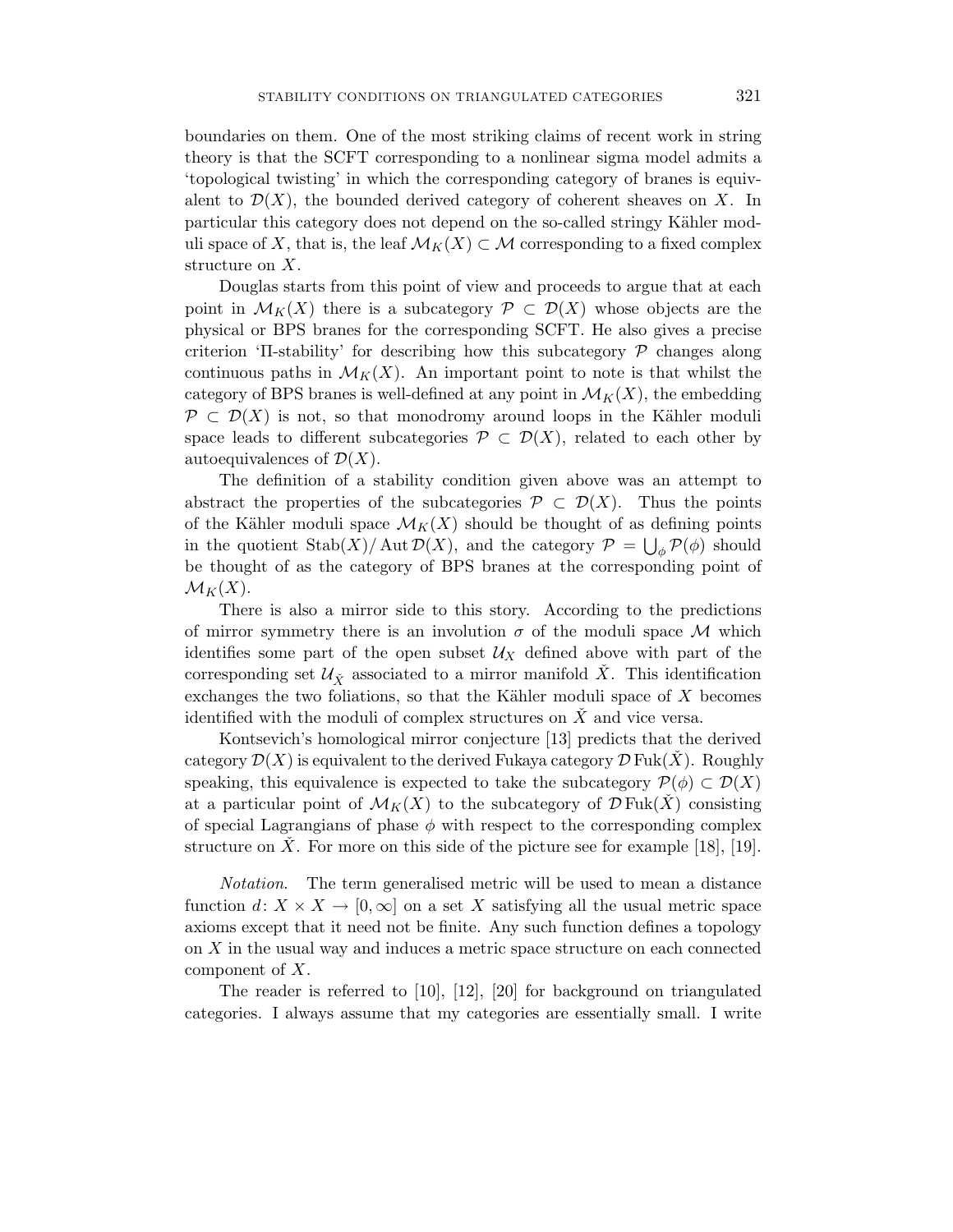boundaries on them. One of the most striking claims of recent work in string theory is that the SCFT corresponding to a nonlinear sigma model admits a 'topological twisting' in which the corresponding category of branes is equivalent to  $\mathcal{D}(X)$ , the bounded derived category of coherent sheaves on X. In particular this category does not depend on the so-called stringy Kähler moduli space of X, that is, the leaf  $\mathcal{M}_K(X) \subset \mathcal{M}$  corresponding to a fixed complex structure on *X*.

Douglas starts from this point of view and proceeds to argue that at each point in  $\mathcal{M}_K(X)$  there is a subcategory  $\mathcal{P} \subset \mathcal{D}(X)$  whose objects are the physical or BPS branes for the corresponding SCFT. He also gives a precise criterion ' $\Pi$ -stability' for describing how this subcategory  $\mathcal P$  changes along continuous paths in  $\mathcal{M}_K(X)$ . An important point to note is that whilst the category of BPS branes is well-defined at any point in  $\mathcal{M}_K(X)$ , the embedding  $P\subset\mathcal{D}(X)$  is not, so that monodromy around loops in the Kähler moduli space leads to different subcategories  $\mathcal{P} \subset \mathcal{D}(X)$ , related to each other by autoequivalences of  $\mathcal{D}(X)$ .

The definition of a stability condition given above was an attempt to abstract the properties of the subcategories  $\mathcal{P} \subset \mathcal{D}(X)$ . Thus the points of the Kähler moduli space  $\mathcal{M}_K(X)$  should be thought of as defining points in the quotient  $\text{Stab}(X)/\text{Aut}\,\mathcal{D}(X)$ , and the category  $\mathcal{P} = \bigcup_{\phi} \mathcal{P}(\phi)$  should be thought of as the category of BPS branes at the corresponding point of  $\mathcal{M}_K(X)$ .

There is also a mirror side to this story. According to the predictions of mirror symmetry there is an involution  $\sigma$  of the moduli space M which identifies some part of the open subset  $\mathcal{U}_X$  defined above with part of the corresponding set  $\mathcal{U}_{\tilde{X}}$  associated to a mirror manifold  $\tilde{X}$ . This identification exchanges the two foliations, so that the Kähler moduli space of X becomes identified with the moduli of complex structures on  $\overline{X}$  and vice versa.

Kontsevich's homological mirror conjecture [13] predicts that the derived category  $\mathcal{D}(X)$  is equivalent to the derived Fukaya category  $\mathcal{D}$  Fuk $(X)$ . Roughly speaking, this equivalence is expected to take the subcategory  $\mathcal{P}(\phi) \subset \mathcal{D}(X)$ at a particular point of  $\mathcal{M}_K(X)$  to the subcategory of  $\mathcal{D}$  Fuk $(X)$  consisting of special Lagrangians of phase  $\phi$  with respect to the corresponding complex structure on  $\hat{X}$ . For more on this side of the picture see for example [18], [19].

Notation. The term generalised metric will be used to mean a distance function  $d: X \times X \to [0, \infty]$  on a set X satisfying all the usual metric space axioms except that it need not be finite. Any such function defines a topology on *X* in the usual way and induces a metric space structure on each connected component of *X*.

The reader is referred to [10], [12], [20] for background on triangulated categories. I always assume that my categories are essentially small. I write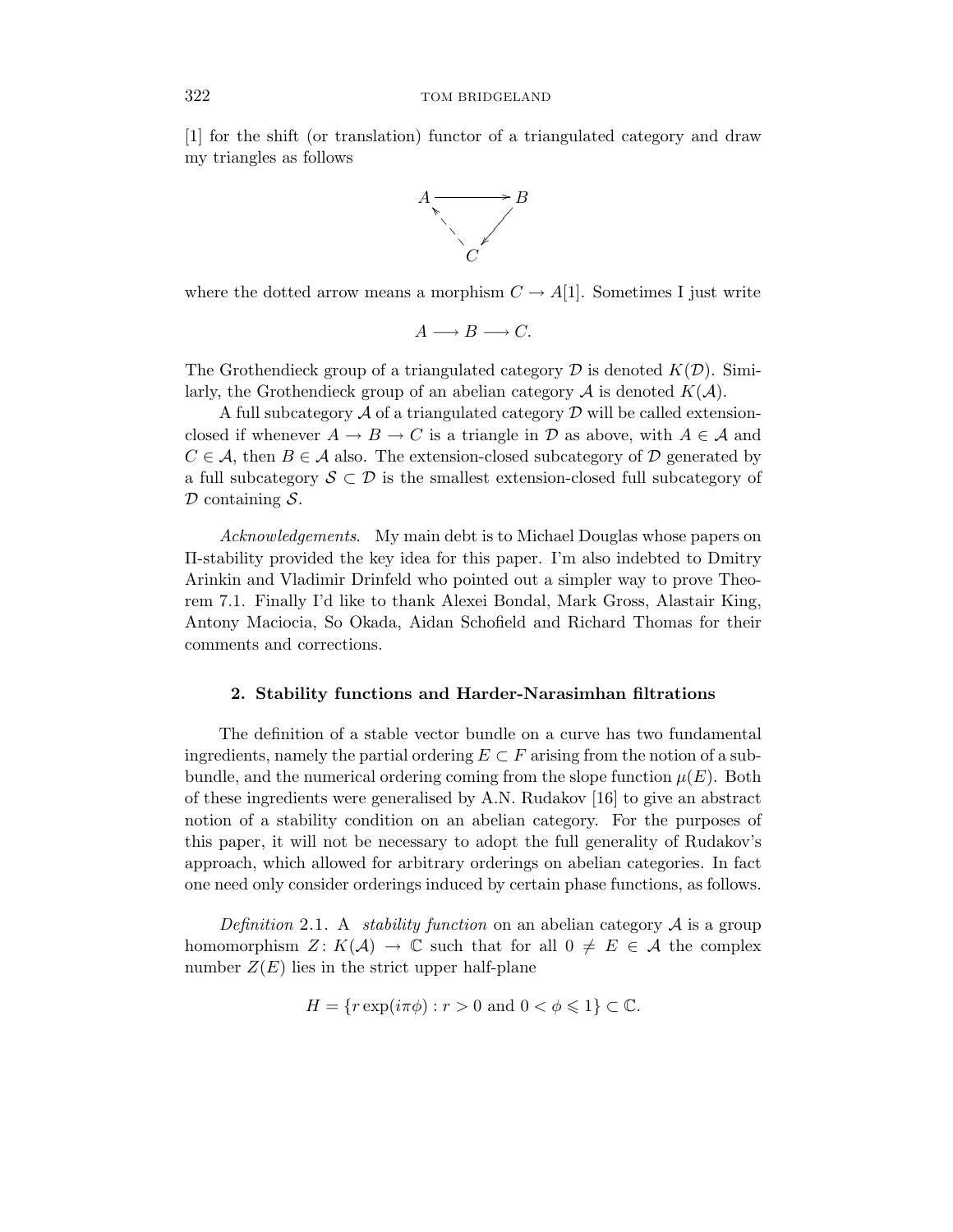[1] for the shift (or translation) functor of a triangulated category and draw my triangles as follows



where the dotted arrow means a morphism  $C \to A[1]$ . Sometimes I just write

$$
A \longrightarrow B \longrightarrow C.
$$

The Grothendieck group of a triangulated category  $\mathcal D$  is denoted  $K(\mathcal D)$ . Similarly, the Grothendieck group of an abelian category  $A$  is denoted  $K(A)$ .

A full subcategory  $\mathcal A$  of a triangulated category  $\mathcal D$  will be called extensionclosed if whenever  $A \to B \to C$  is a triangle in  $D$  as above, with  $A \in \mathcal{A}$  and  $C \in \mathcal{A}$ , then  $B \in \mathcal{A}$  also. The extension-closed subcategory of  $\mathcal{D}$  generated by a full subcategory  $S\subset\mathcal{D}$  is the smallest extension-closed full subcategory of  $\mathcal D$  containing  $\mathcal S$ .

Acknowledgements. My main debt is to Michael Douglas whose papers on Π-stability provided the key idea for this paper. I'm also indebted to Dmitry Arinkin and Vladimir Drinfeld who pointed out a simpler way to prove Theorem 7.1. Finally I'd like to thank Alexei Bondal, Mark Gross, Alastair King, Antony Maciocia, So Okada, Aidan Schofield and Richard Thomas for their comments and corrections.

#### **2. Stability functions and Harder-Narasimhan filtrations**

The definition of a stable vector bundle on a curve has two fundamental ingredients, namely the partial ordering  $E \subset F$  arising from the notion of a subbundle, and the numerical ordering coming from the slope function  $\mu(E)$ . Both of these ingredients were generalised by A.N. Rudakov [16] to give an abstract notion of a stability condition on an abelian category. For the purposes of this paper, it will not be necessary to adopt the full generality of Rudakov's approach, which allowed for arbitrary orderings on abelian categories. In fact one need only consider orderings induced by certain phase functions, as follows.

Definition 2.1. A stability function on an abelian category  $A$  is a group homomorphism  $Z: K(\mathcal{A}) \to \mathbb{C}$  such that for all  $0 \neq E \in \mathcal{A}$  the complex number  $Z(E)$  lies in the strict upper half-plane

$$
H = \{ r \exp(i\pi\phi) : r > 0 \text{ and } 0 < \phi \leq 1 \} \subset \mathbb{C}.
$$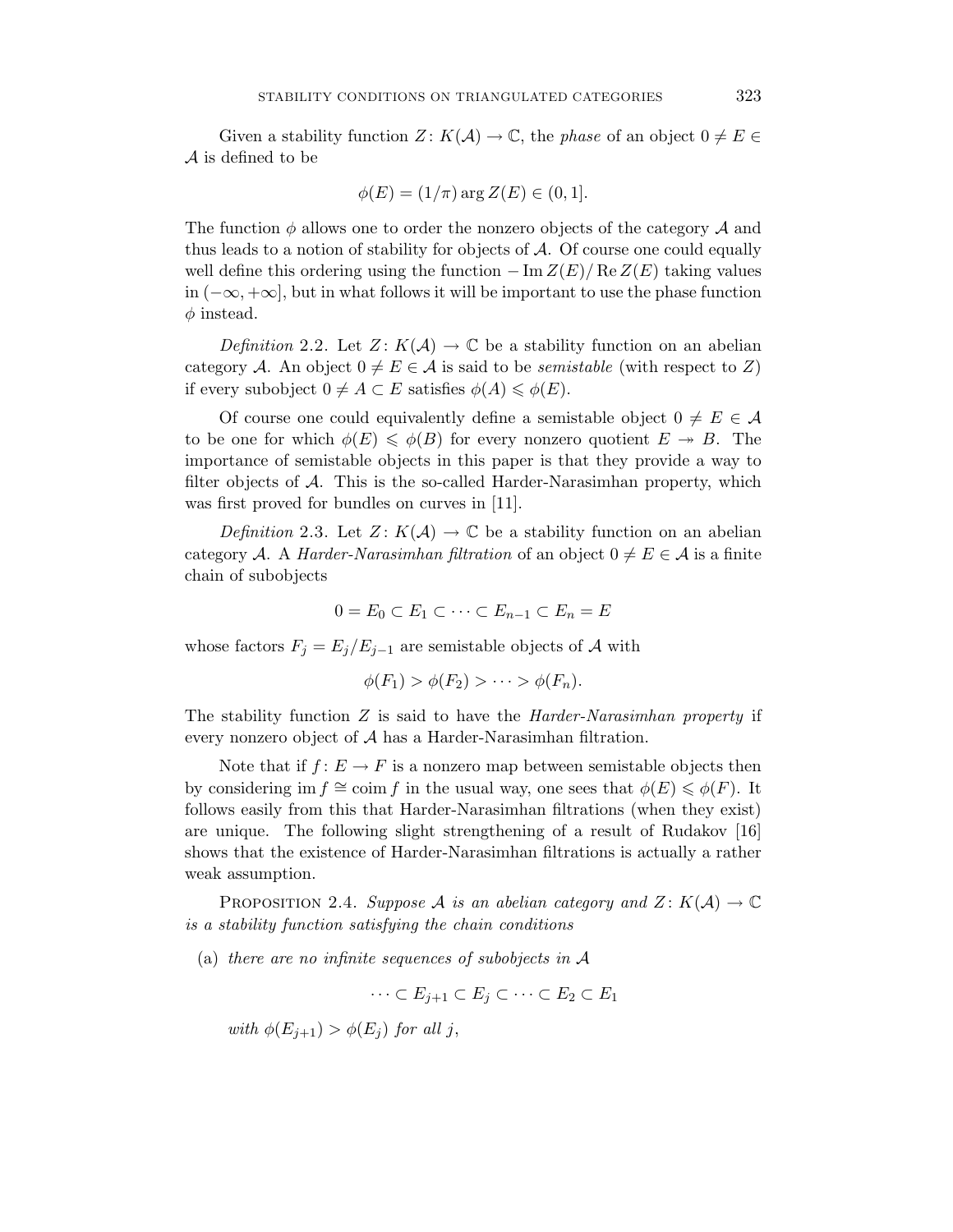Given a stability function  $Z: K(\mathcal{A}) \to \mathbb{C}$ , the *phase* of an object  $0 \neq E \in$ A is defined to be

$$
\phi(E) = (1/\pi) \arg Z(E) \in (0, 1].
$$

The function  $\phi$  allows one to order the nonzero objects of the category  $\mathcal A$  and thus leads to a notion of stability for objects of  $A$ . Of course one could equally well define this ordering using the function  $-\operatorname{Im} Z(E)/\operatorname{Re} Z(E)$  taking values in (−∞*,* +∞], but in what follows it will be important to use the phase function *φ* instead.

Definition 2.2. Let  $Z: K(\mathcal{A}) \to \mathbb{C}$  be a stability function on an abelian category A. An object  $0 \neq E \in \mathcal{A}$  is said to be *semistable* (with respect to Z) if every subobject  $0 \neq A \subset E$  satisfies  $\phi(A) \leq \phi(E)$ .

Of course one could equivalently define a semistable object  $0 \neq E \in \mathcal{A}$ to be one for which  $\phi(E) \leq \phi(B)$  for every nonzero quotient  $E \to B$ . The importance of semistable objects in this paper is that they provide a way to filter objects of  $A$ . This is the so-called Harder-Narasimhan property, which was first proved for bundles on curves in [11].

Definition 2.3. Let  $Z: K(\mathcal{A}) \to \mathbb{C}$  be a stability function on an abelian category A. A *Harder-Narasimhan filtration* of an object  $0 \neq E \in \mathcal{A}$  is a finite chain of subobjects

$$
0 = E_0 \subset E_1 \subset \cdots \subset E_{n-1} \subset E_n = E
$$

whose factors  $F_i = E_i/E_{i-1}$  are semistable objects of A with

$$
\phi(F_1) > \phi(F_2) > \cdots > \phi(F_n).
$$

The stability function *Z* is said to have the Harder-Narasimhan property if every nonzero object of A has a Harder-Narasimhan filtration.

Note that if  $f: E \to F$  is a nonzero map between semistable objects then by considering im  $f \cong \text{coim } f$  in the usual way, one sees that  $\phi(E) \leq \phi(F)$ . It follows easily from this that Harder-Narasimhan filtrations (when they exist) are unique. The following slight strengthening of a result of Rudakov [16] shows that the existence of Harder-Narasimhan filtrations is actually a rather weak assumption.

PROPOSITION 2.4. Suppose A is an abelian category and  $Z: K(\mathcal{A}) \to \mathbb{C}$ is a stability function satisfying the chain conditions

(a) there are no infinite sequences of subobjects in A

$$
\cdots \subset E_{j+1} \subset E_j \subset \cdots \subset E_2 \subset E_1
$$

with  $\phi(E_{i+1}) > \phi(E_i)$  for all *j*,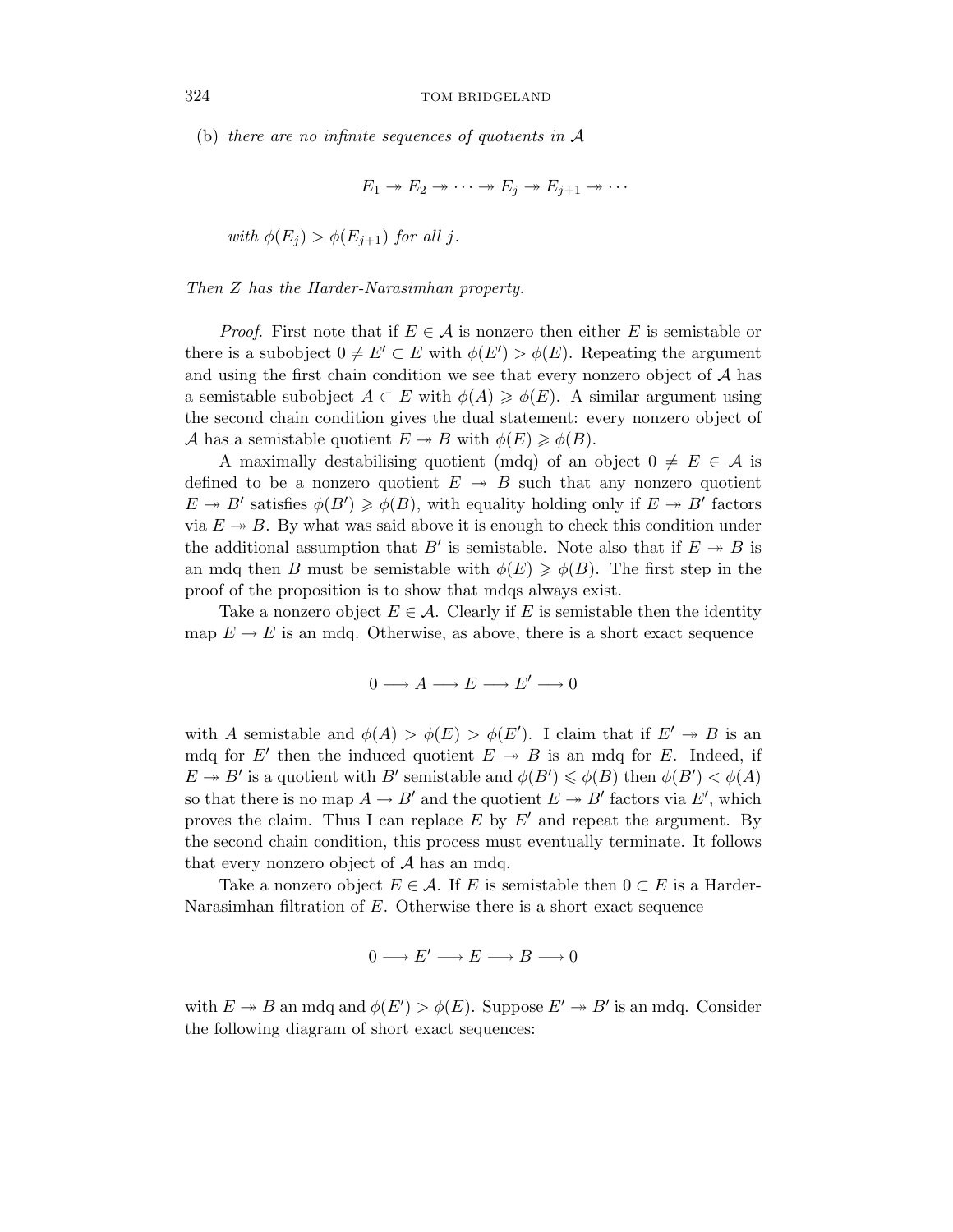(b) there are no infinite sequences of quotients in A

$$
E_1 \twoheadrightarrow E_2 \twoheadrightarrow \cdots \twoheadrightarrow E_j \twoheadrightarrow E_{j+1} \twoheadrightarrow \cdots
$$

with  $\phi(E_i) > \phi(E_{i+1})$  for all *j*.

Then *Z* has the Harder-Narasimhan property.

*Proof.* First note that if  $E \in \mathcal{A}$  is nonzero then either *E* is semistable or there is a subobject  $0 \neq E' \subset E$  with  $\phi(E') > \phi(E)$ . Repeating the argument and using the first chain condition we see that every nonzero object of  $A$  has a semistable subobject  $A \subset E$  with  $\phi(A) \geq \phi(E)$ . A similar argument using the second chain condition gives the dual statement: every nonzero object of A has a semistable quotient  $E \to B$  with  $\phi(E) \geq \phi(B)$ .

A maximally destabilising quotient (mdq) of an object  $0 \neq E \in \mathcal{A}$  is defined to be a nonzero quotient  $E \rightarrow B$  such that any nonzero quotient  $E \to B'$  satisfies  $\phi(B') \geq \phi(B)$ , with equality holding only if  $E \to B'$  factors via  $E \rightarrow B$ . By what was said above it is enough to check this condition under the additional assumption that  $B'$  is semistable. Note also that if  $E \rightarrow B$  is an mdq then *B* must be semistable with  $\phi(E) \geq \phi(B)$ . The first step in the proof of the proposition is to show that mdqs always exist.

Take a nonzero object  $E \in \mathcal{A}$ . Clearly if *E* is semistable then the identity map  $E \to E$  is an mdq. Otherwise, as above, there is a short exact sequence

$$
0 \longrightarrow A \longrightarrow E \longrightarrow E' \longrightarrow 0
$$

with *A* semistable and  $\phi(A) > \phi(E) > \phi(E')$ . I claim that if  $E' \to B$  is an mdq for  $E'$  then the induced quotient  $E \rightarrow B$  is an mdq for *E*. Indeed, if  $E \to B'$  is a quotient with *B'* semistable and  $\phi(B') \leq \phi(B)$  then  $\phi(B') < \phi(A)$ so that there is no map  $A \to B'$  and the quotient  $E \to B'$  factors via  $E'$ , which proves the claim. Thus I can replace  $E$  by  $E'$  and repeat the argument. By the second chain condition, this process must eventually terminate. It follows that every nonzero object of  $A$  has an mdq.

Take a nonzero object  $E \in \mathcal{A}$ . If *E* is semistable then  $0 \subset E$  is a Harder-Narasimhan filtration of *E*. Otherwise there is a short exact sequence

$$
0 \longrightarrow E' \longrightarrow E \longrightarrow B \longrightarrow 0
$$

with  $E \twoheadrightarrow B$  an mdq and  $\phi(E') > \phi(E)$ . Suppose  $E' \twoheadrightarrow B'$  is an mdq. Consider the following diagram of short exact sequences: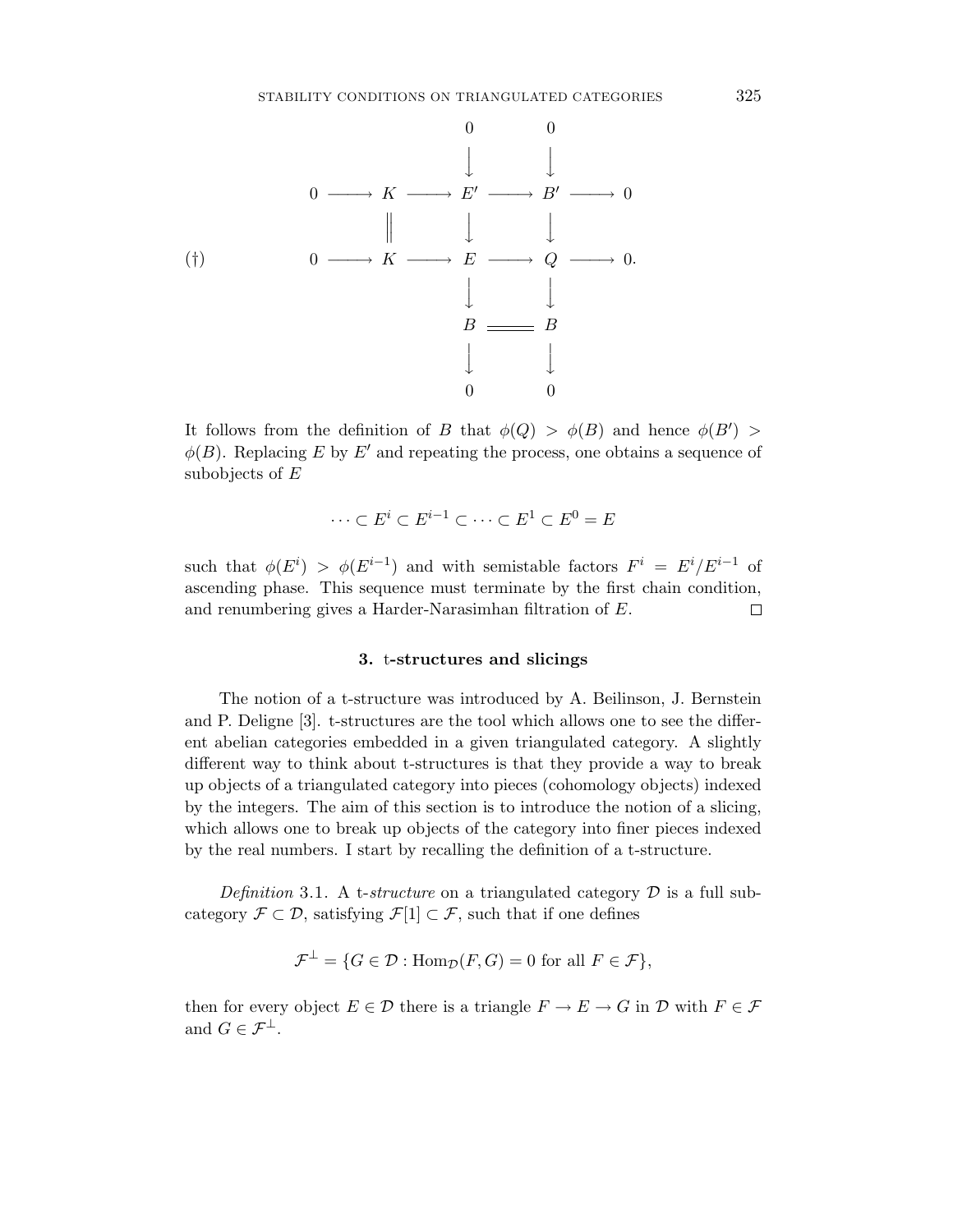

It follows from the definition of *B* that  $\phi(Q) > \phi(B)$  and hence  $\phi(B') >$  $\phi(B)$ . Replacing *E* by *E'* and repeating the process, one obtains a sequence of subobjects of *E*

$$
\cdots \subset E^i \subset E^{i-1} \subset \cdots \subset E^1 \subset E^0 = E
$$

such that  $\phi(E^i) > \phi(E^{i-1})$  and with semistable factors  $F^i = E^i/E^{i-1}$  of ascending phase. This sequence must terminate by the first chain condition, and renumbering gives a Harder-Narasimhan filtration of *E*. П

# **3.** t**-structures and slicings**

The notion of a t-structure was introduced by A. Beilinson, J. Bernstein and P. Deligne [3]. t-structures are the tool which allows one to see the different abelian categories embedded in a given triangulated category. A slightly different way to think about t-structures is that they provide a way to break up objects of a triangulated category into pieces (cohomology objects) indexed by the integers. The aim of this section is to introduce the notion of a slicing, which allows one to break up objects of the category into finer pieces indexed by the real numbers. I start by recalling the definition of a t-structure.

Definition 3.1. A t-structure on a triangulated category  $\mathcal D$  is a full subcategory  $\mathcal{F} \subset \mathcal{D}$ , satisfying  $\mathcal{F}[1] \subset \mathcal{F}$ , such that if one defines

$$
\mathcal{F}^{\perp} = \{ G \in \mathcal{D} : \text{Hom}_{\mathcal{D}}(F, G) = 0 \text{ for all } F \in \mathcal{F} \},
$$

then for every object  $E \in \mathcal{D}$  there is a triangle  $F \to E \to G$  in  $\mathcal D$  with  $F \in \mathcal{F}$ and  $G \in \mathcal{F}^{\perp}$ .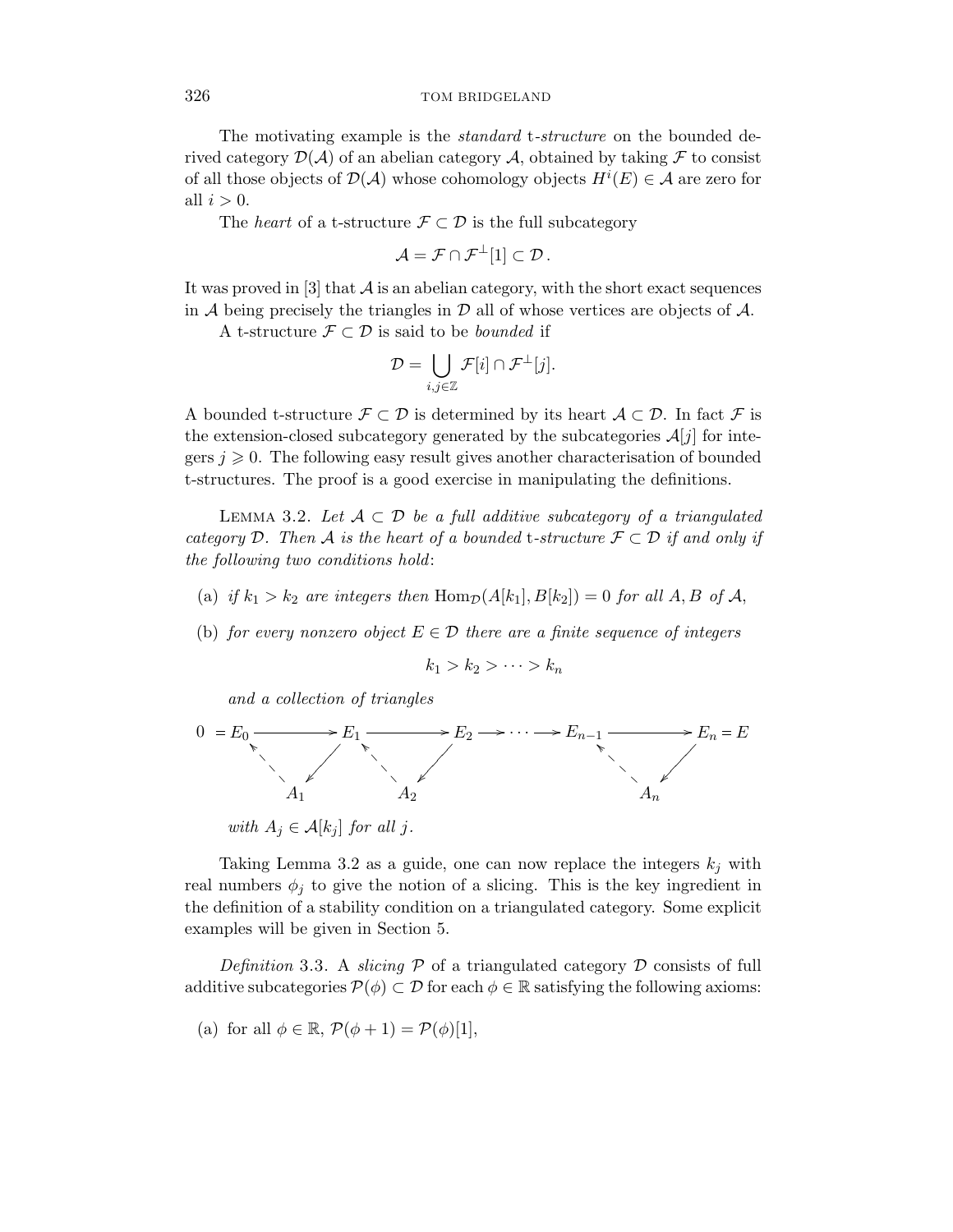The motivating example is the *standard* t-*structure* on the bounded derived category  $\mathcal{D}(\mathcal{A})$  of an abelian category  $\mathcal{A}$ , obtained by taking  $\mathcal F$  to consist of all those objects of  $\mathcal{D}(\mathcal{A})$  whose cohomology objects  $H^{i}(E) \in \mathcal{A}$  are zero for all  $i > 0$ .

The *heart* of a t-structure  $\mathcal{F} \subset \mathcal{D}$  is the full subcategory

$$
\mathcal{A} = \mathcal{F} \cap \mathcal{F}^{\perp}[1] \subset \mathcal{D}.
$$

It was proved in  $[3]$  that  $\mathcal A$  is an abelian category, with the short exact sequences in  $A$  being precisely the triangles in  $D$  all of whose vertices are objects of  $A$ .

A t-structure  $\mathcal{F} \subset \mathcal{D}$  is said to be *bounded* if

$$
\mathcal{D} = \bigcup_{i,j\in\mathbb{Z}} \mathcal{F}[i] \cap \mathcal{F}^{\perp}[j].
$$

A bounded t-structure  $\mathcal{F} \subset \mathcal{D}$  is determined by its heart  $\mathcal{A} \subset \mathcal{D}$ . In fact  $\mathcal{F}$  is the extension-closed subcategory generated by the subcategories  $\mathcal{A}[j]$  for integers  $j \geqslant 0$ . The following easy result gives another characterisation of bounded t-structures. The proof is a good exercise in manipulating the definitions.

LEMMA 3.2. Let  $\mathcal{A} \subset \mathcal{D}$  be a full additive subcategory of a triangulated category D. Then A is the heart of a bounded t-structure  $\mathcal{F} \subset \mathcal{D}$  if and only if the following two conditions hold:

- (a) if  $k_1 > k_2$  are integers then  $\text{Hom}_{\mathcal{D}}(A[k_1], B[k_2]) = 0$  for all  $A, B$  of  $A$ ,
- (b) for every nonzero object  $E \in \mathcal{D}$  there are a finite sequence of integers

$$
k_1 > k_2 > \cdots > k_n
$$

and a collection of triangles



Taking Lemma 3.2 as a guide, one can now replace the integers  $k_j$  with real numbers  $\phi_j$  to give the notion of a slicing. This is the key ingredient in the definition of a stability condition on a triangulated category. Some explicit examples will be given in Section 5.

Definition 3.3. A slicing  $P$  of a triangulated category  $D$  consists of full additive subcategories  $\mathcal{P}(\phi) \subset \mathcal{D}$  for each  $\phi \in \mathbb{R}$  satisfying the following axioms:

(a) for all  $\phi \in \mathbb{R}$ ,  $\mathcal{P}(\phi + 1) = \mathcal{P}(\phi)[1]$ ,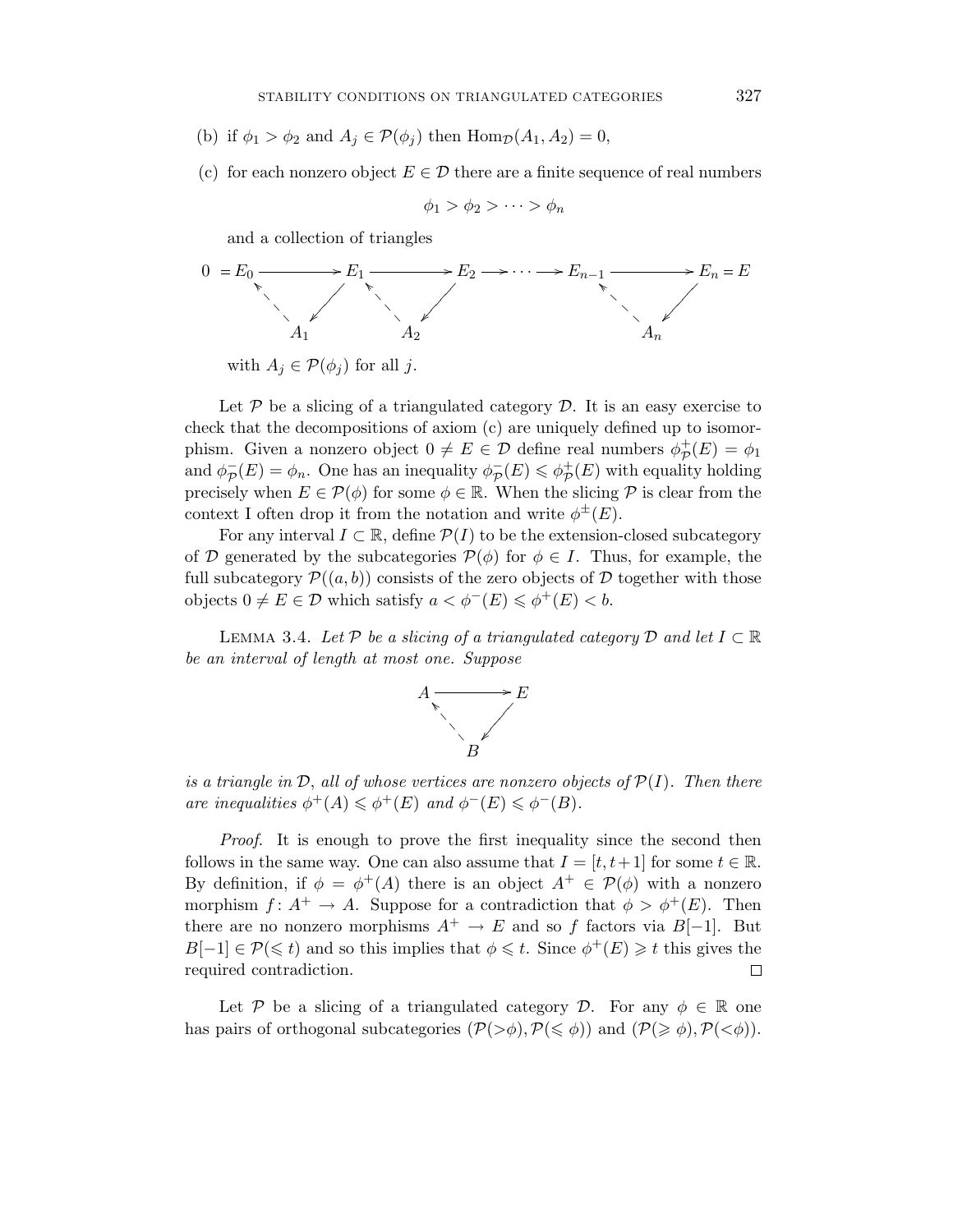- (b) if  $\phi_1 > \phi_2$  and  $A_i \in \mathcal{P}(\phi_i)$  then  $\text{Hom}_{\mathcal{D}}(A_1, A_2) = 0$ ,
- (c) for each nonzero object  $E \in \mathcal{D}$  there are a finite sequence of real numbers

$$
\phi_1 > \phi_2 > \cdots > \phi_n
$$

and a collection of triangles



Let  $P$  be a slicing of a triangulated category  $D$ . It is an easy exercise to check that the decompositions of axiom (c) are uniquely defined up to isomorphism. Given a nonzero object  $0 \neq E \in \mathcal{D}$  define real numbers  $\phi_{\mathcal{D}}^+(E) = \phi_1$ and  $\phi_{\mathcal{P}}(E) = \phi_n$ . One has an inequality  $\phi_{\mathcal{P}}(E) \leq \phi_{\mathcal{P}}^+(E)$  with equality holding precisely when  $E \in \mathcal{P}(\phi)$  for some  $\phi \in \mathbb{R}$ . When the slicing  $\mathcal P$  is clear from the context I often drop it from the notation and write  $\phi^{\pm}(E)$ .

For any interval  $I \subset \mathbb{R}$ , define  $\mathcal{P}(I)$  to be the extension-closed subcategory of D generated by the subcategories  $\mathcal{P}(\phi)$  for  $\phi \in I$ . Thus, for example, the full subcategory  $\mathcal{P}((a, b))$  consists of the zero objects of D together with those objects  $0 \neq E \in \mathcal{D}$  which satisfy  $a < \phi^{-}(E) \leq \phi^{+}(E) < b$ .

LEMMA 3.4. Let P be a slicing of a triangulated category D and let  $I \subset \mathbb{R}$ be an interval of length at most one. Suppose



is a triangle in  $\mathcal{D}$ , all of whose vertices are nonzero objects of  $\mathcal{P}(I)$ . Then there are inequalities  $\phi^+(A) \leq \phi^+(E)$  and  $\phi^-(E) \leq \phi^-(B)$ .

Proof. It is enough to prove the first inequality since the second then follows in the same way. One can also assume that  $I = [t, t+1]$  for some  $t \in \mathbb{R}$ . By definition, if  $\phi = \phi^+(A)$  there is an object  $A^+ \in \mathcal{P}(\phi)$  with a nonzero morphism  $f: A^+ \to A$ . Suppose for a contradiction that  $\phi > \phi^+(E)$ . Then there are no nonzero morphisms  $A^+ \to E$  and so f factors via  $B[-1]$ . But  $B[-1] \in \mathcal{P}(\leq t)$  and so this implies that  $\phi \leq t$ . Since  $\phi^+(E) \geq t$  this gives the required contradiction. □

Let P be a slicing of a triangulated category D. For any  $\phi \in \mathbb{R}$  one has pairs of orthogonal subcategories  $(\mathcal{P}(\geq \phi), \mathcal{P}(\leq \phi))$  and  $(\mathcal{P}(\geq \phi), \mathcal{P}(\leq \phi))$ .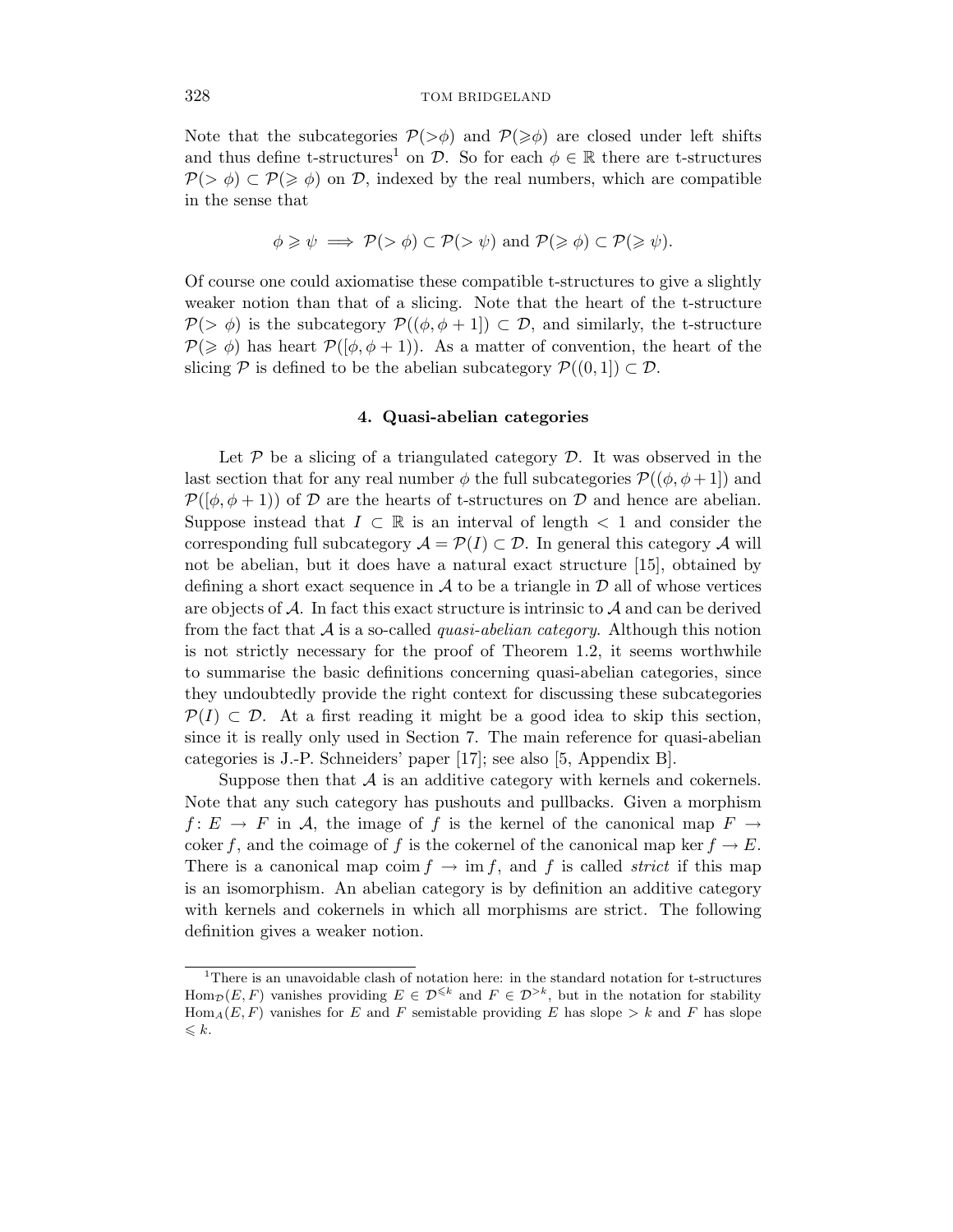Note that the subcategories  $P(\geq \phi)$  and  $P(\geq \phi)$  are closed under left shifts and thus define t-structures<sup>1</sup> on  $\mathcal{D}$ . So for each  $\phi \in \mathbb{R}$  there are t-structures  $P(\geq \phi) \subset P(\geq \phi)$  on D, indexed by the real numbers, which are compatible in the sense that

$$
\phi \geqslant \psi \implies \mathcal{P}(> \phi) \subset \mathcal{P}(> \psi) \text{ and } \mathcal{P}(\geqslant \phi) \subset \mathcal{P}(\geqslant \psi).
$$

Of course one could axiomatise these compatible t-structures to give a slightly weaker notion than that of a slicing. Note that the heart of the t-structure  $\mathcal{P}(>\phi)$  is the subcategory  $\mathcal{P}((\phi, \phi+1]) \subset \mathcal{D}$ , and similarly, the t-structure  $P(\geq \phi)$  has heart  $P([\phi, \phi + 1])$ . As a matter of convention, the heart of the slicing P is defined to be the abelian subcategory  $\mathcal{P}((0,1]) \subset \mathcal{D}$ .

### **4. Quasi-abelian categories**

Let  $P$  be a slicing of a triangulated category  $D$ . It was observed in the last section that for any real number  $\phi$  the full subcategories  $\mathcal{P}((\phi, \phi + 1))$  and  $\mathcal{P}(\phi, \phi + 1)$  of D are the hearts of t-structures on D and hence are abelian. Suppose instead that  $I \subset \mathbb{R}$  is an interval of length  $\lt 1$  and consider the corresponding full subcategory  $\mathcal{A} = \mathcal{P}(I) \subset \mathcal{D}$ . In general this category  $\mathcal{A}$  will not be abelian, but it does have a natural exact structure [15], obtained by defining a short exact sequence in  $\mathcal A$  to be a triangle in  $\mathcal D$  all of whose vertices are objects of  $A$ . In fact this exact structure is intrinsic to  $A$  and can be derived from the fact that  $A$  is a so-called *quasi-abelian category*. Although this notion is not strictly necessary for the proof of Theorem 1.2, it seems worthwhile to summarise the basic definitions concerning quasi-abelian categories, since they undoubtedly provide the right context for discussing these subcategories  $\mathcal{P}(I) \subset \mathcal{D}$ . At a first reading it might be a good idea to skip this section, since it is really only used in Section 7. The main reference for quasi-abelian categories is J.-P. Schneiders' paper [17]; see also [5, Appendix B].

Suppose then that  $\mathcal A$  is an additive category with kernels and cokernels. Note that any such category has pushouts and pullbacks. Given a morphism *f* :  $E \rightarrow F$  in A, the image of f is the kernel of the canonical map  $F \rightarrow$ coker *f*, and the coimage of *f* is the cokernel of the canonical map ker  $f \to E$ . There is a canonical map coim  $f \to \text{im } f$ , and f is called *strict* if this map is an isomorphism. An abelian category is by definition an additive category with kernels and cokernels in which all morphisms are strict. The following definition gives a weaker notion.

<sup>&</sup>lt;sup>1</sup>There is an unavoidable clash of notation here: in the standard notation for t-structures  $\text{Hom}_{\mathcal{D}}(E, F)$  vanishes providing  $E \in \mathcal{D}^{\leq k}$  and  $F \in \mathcal{D}^{> k}$ , but in the notation for stability  $Hom_A(E, F)$  vanishes for *E* and *F* semistable providing *E* has slope  $\geq k$  and *F* has slope  $\leqslant k$ .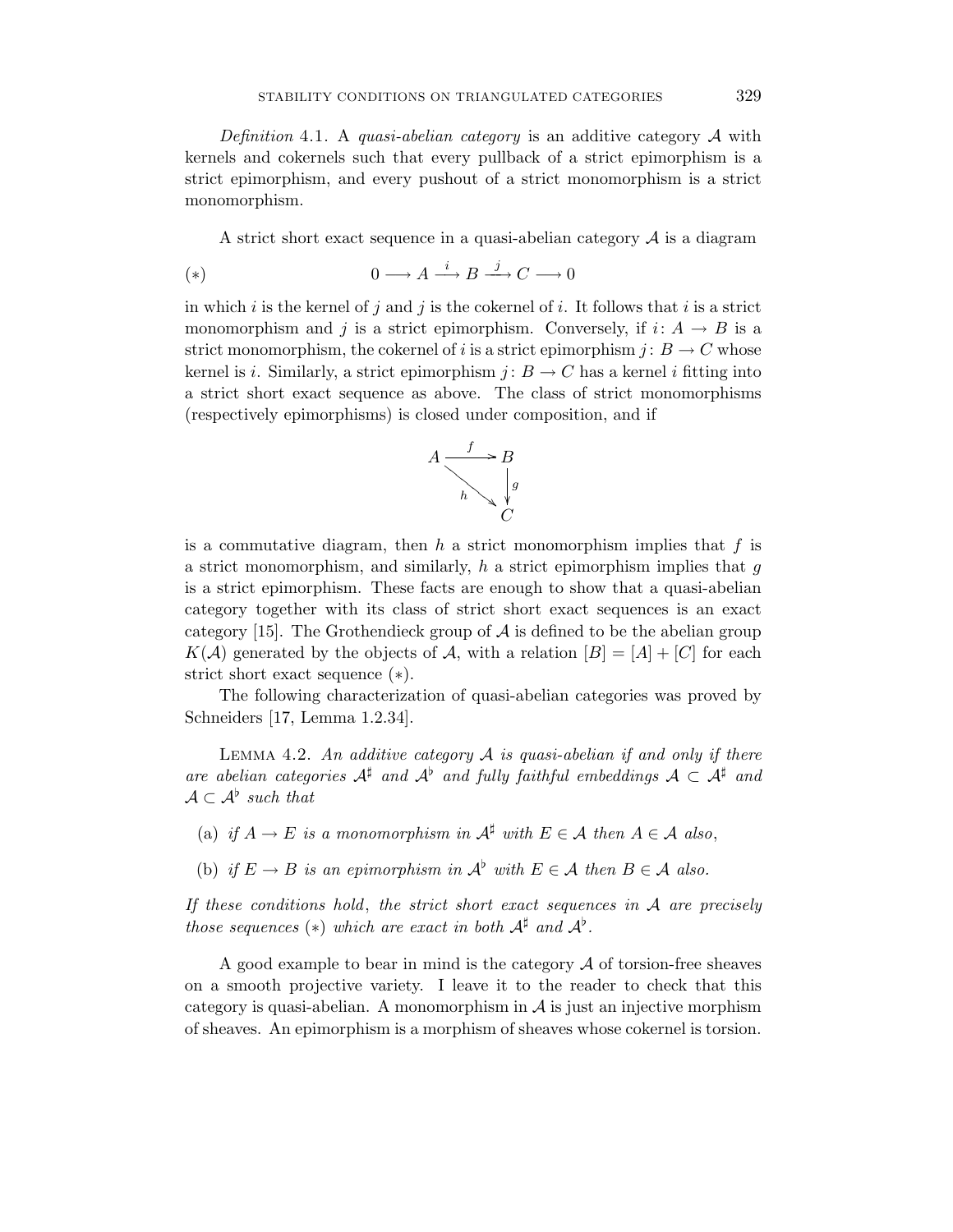Definition 4.1. A quasi-abelian category is an additive category  $A$  with kernels and cokernels such that every pullback of a strict epimorphism is a strict epimorphism, and every pushout of a strict monomorphism is a strict monomorphism.

A strict short exact sequence in a quasi-abelian category  $A$  is a diagram

(\*) 
$$
0 \longrightarrow A \stackrel{i}{\longrightarrow} B \stackrel{j}{\longrightarrow} C \longrightarrow 0
$$

in which *i* is the kernel of *j* and *j* is the cokernel of *i*. It follows that *i* is a strict monomorphism and *j* is a strict epimorphism. Conversely, if  $i: A \rightarrow B$  is a strict monomorphism, the cokernel of *i* is a strict epimorphism  $j: B \to C$  whose kernel is *i*. Similarly, a strict epimorphism  $j: B \to C$  has a kernel *i* fitting into a strict short exact sequence as above. The class of strict monomorphisms (respectively epimorphisms) is closed under composition, and if



is a commutative diagram, then *h* a strict monomorphism implies that *f* is a strict monomorphism, and similarly, *h* a strict epimorphism implies that *g* is a strict epimorphism. These facts are enough to show that a quasi-abelian category together with its class of strict short exact sequences is an exact category [15]. The Grothendieck group of  $A$  is defined to be the abelian group  $K(\mathcal{A})$  generated by the objects of  $\mathcal{A}$ , with a relation  $[B]=[A]+[C]$  for each strict short exact sequence (∗).

The following characterization of quasi-abelian categories was proved by Schneiders [17, Lemma 1.2.34].

LEMMA 4.2. An additive category  $\mathcal A$  is quasi-abelian if and only if there are abelian categories  $A^{\sharp}$  and  $A^{\flat}$  and fully faithful embeddings  $A \subset A^{\sharp}$  and  $\mathcal{A} \subset \mathcal{A}^{\flat}$  such that

- (a) if  $A \to E$  is a monomorphism in  $A^{\sharp}$  with  $E \in A$  then  $A \in A$  also,
- (b) if  $E \to B$  is an epimorphism in  $\mathcal{A}^{\flat}$  with  $E \in \mathcal{A}$  then  $B \in \mathcal{A}$  also.

If these conditions hold, the strict short exact sequences in  $A$  are precisely those sequences (\*) which are exact in both  $A^{\sharp}$  and  $A^{\flat}$ .

A good example to bear in mind is the category  $\mathcal A$  of torsion-free sheaves on a smooth projective variety. I leave it to the reader to check that this category is quasi-abelian. A monomorphism in  $A$  is just an injective morphism of sheaves. An epimorphism is a morphism of sheaves whose cokernel is torsion.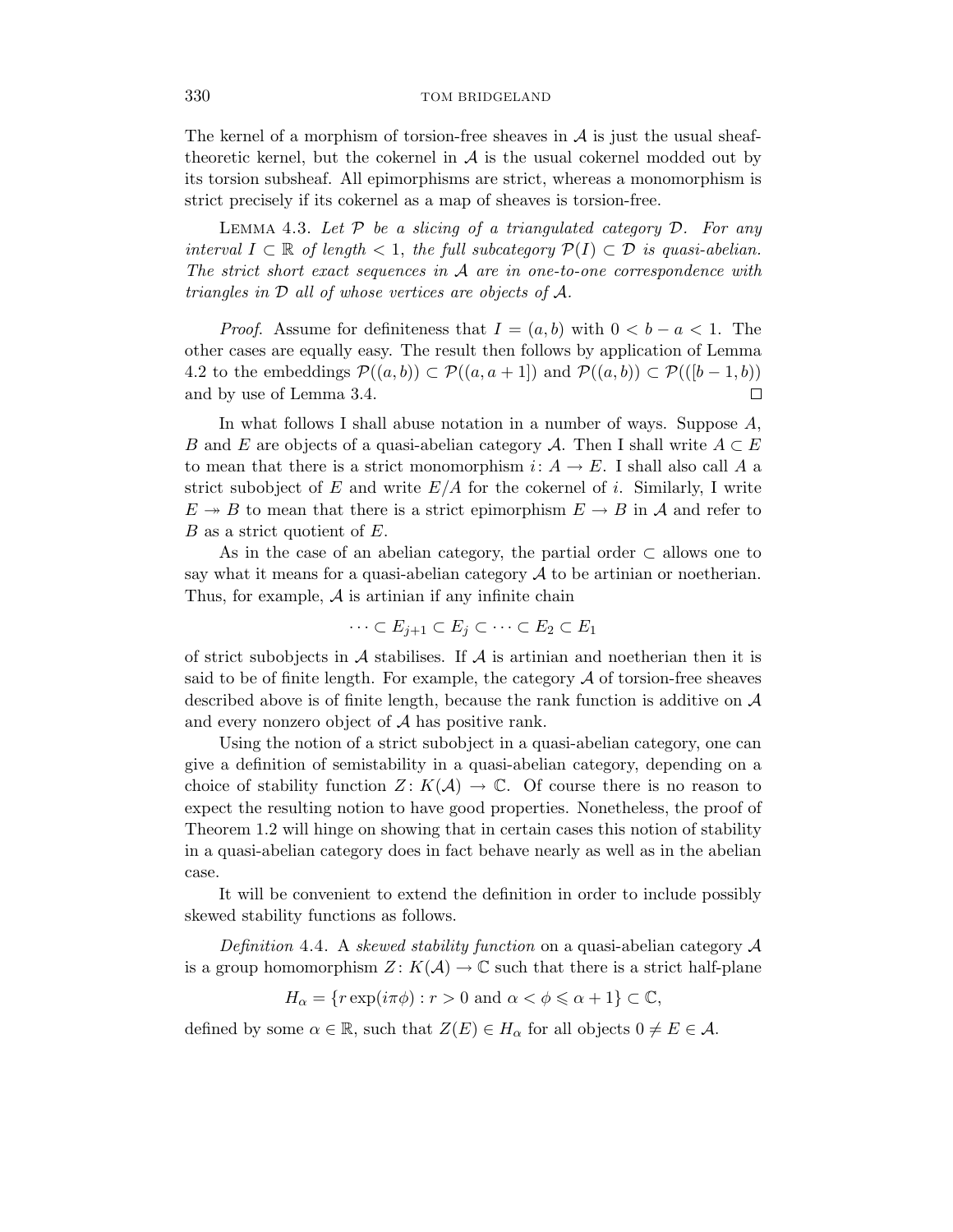The kernel of a morphism of torsion-free sheaves in  $A$  is just the usual sheaftheoretic kernel, but the cokernel in  $A$  is the usual cokernel modded out by its torsion subsheaf. All epimorphisms are strict, whereas a monomorphism is strict precisely if its cokernel as a map of sheaves is torsion-free.

LEMMA 4.3. Let  $P$  be a slicing of a triangulated category  $D$ . For any interval *I* ⊂ R of length < 1, the full subcategory  $\mathcal{P}(I)$  ⊂  $\mathcal{D}$  is quasi-abelian. The strict short exact sequences in A are in one-to-one correspondence with triangles in D all of whose vertices are objects of A.

*Proof.* Assume for definiteness that  $I = (a, b)$  with  $0 < b - a < 1$ . The other cases are equally easy. The result then follows by application of Lemma 4.2 to the embeddings  $\mathcal{P}((a, b)) \subset \mathcal{P}((a, a + 1])$  and  $\mathcal{P}((a, b)) \subset \mathcal{P}((b - 1, b))$ and by use of Lemma 3.4.  $\Box$ 

In what follows I shall abuse notation in a number of ways. Suppose *A*, *B* and *E* are objects of a quasi-abelian category *A*. Then I shall write  $A \subset E$ to mean that there is a strict monomorphism  $i: A \to E$ . I shall also call A a strict subobject of  $E$  and write  $E/A$  for the cokernel of *i*. Similarly, I write  $E \rightarrow B$  to mean that there is a strict epimorphism  $E \rightarrow B$  in A and refer to *B* as a strict quotient of *E*.

As in the case of an abelian category, the partial order  $\subset$  allows one to say what it means for a quasi-abelian category  $A$  to be artinian or noetherian. Thus, for example,  $\mathcal A$  is artinian if any infinite chain

$$
\cdots \subset E_{j+1} \subset E_j \subset \cdots \subset E_2 \subset E_1
$$

of strict subobjects in  $A$  stabilises. If  $A$  is artinian and noetherian then it is said to be of finite length. For example, the category  $A$  of torsion-free sheaves described above is of finite length, because the rank function is additive on  $A$ and every nonzero object of  $A$  has positive rank.

Using the notion of a strict subobject in a quasi-abelian category, one can give a definition of semistability in a quasi-abelian category, depending on a choice of stability function  $Z: K(\mathcal{A}) \to \mathbb{C}$ . Of course there is no reason to expect the resulting notion to have good properties. Nonetheless, the proof of Theorem 1.2 will hinge on showing that in certain cases this notion of stability in a quasi-abelian category does in fact behave nearly as well as in the abelian case.

It will be convenient to extend the definition in order to include possibly skewed stability functions as follows.

Definition 4.4. A skewed stability function on a quasi-abelian category  $\mathcal A$ is a group homomorphism  $Z: K(\mathcal{A}) \to \mathbb{C}$  such that there is a strict half-plane

$$
H_{\alpha} = \{ r \exp(i\pi\phi) : r > 0 \text{ and } \alpha < \phi \leq \alpha + 1 \} \subset \mathbb{C},
$$

defined by some  $\alpha \in \mathbb{R}$ , such that  $Z(E) \in H_{\alpha}$  for all objects  $0 \neq E \in \mathcal{A}$ .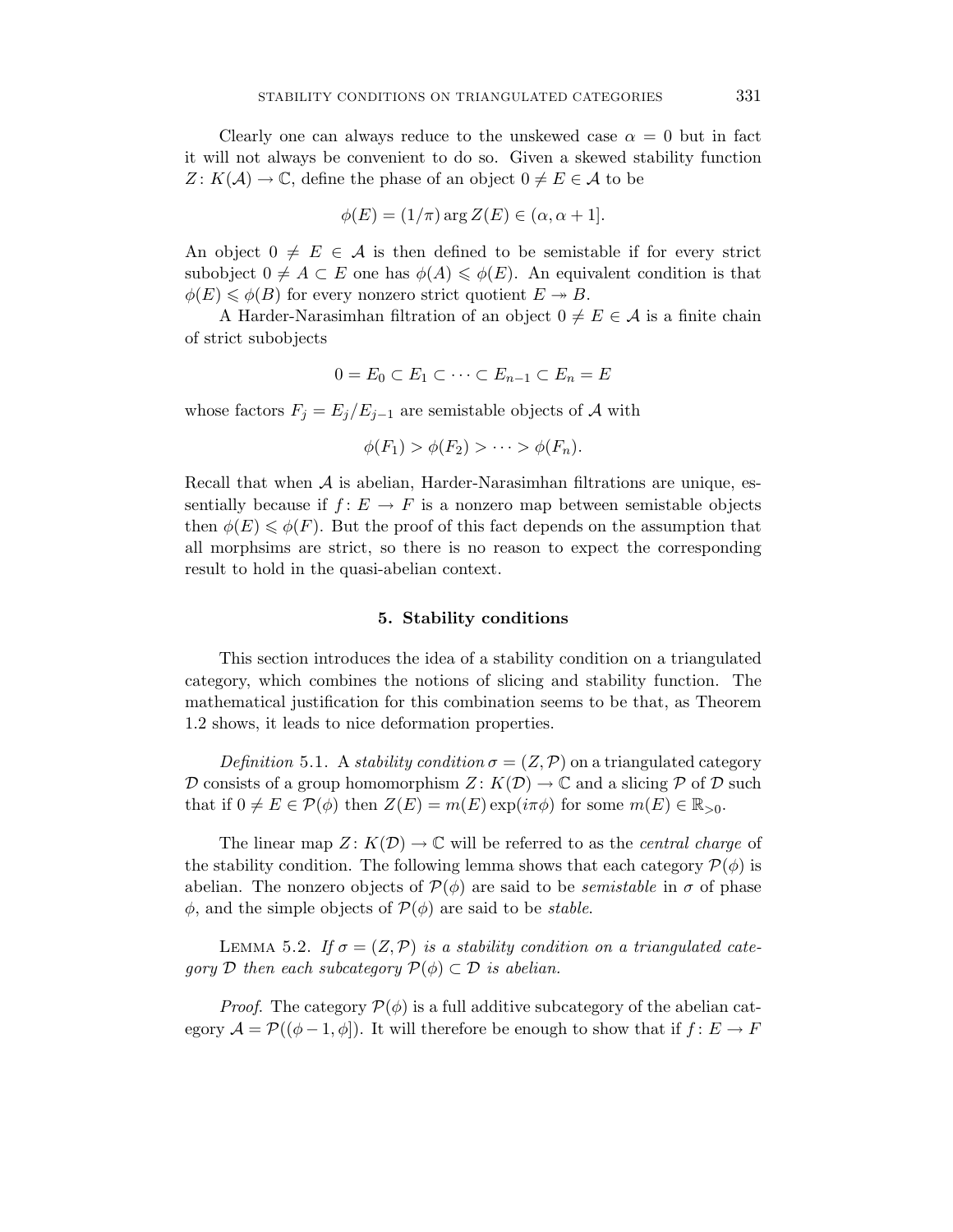Clearly one can always reduce to the unskewed case  $\alpha = 0$  but in fact it will not always be convenient to do so. Given a skewed stability function  $Z: K(\mathcal{A}) \to \mathbb{C}$ , define the phase of an object  $0 \neq E \in \mathcal{A}$  to be

$$
\phi(E) = (1/\pi) \arg Z(E) \in (\alpha, \alpha + 1].
$$

An object  $0 \neq E \in \mathcal{A}$  is then defined to be semistable if for every strict subobject  $0 \neq A \subset E$  one has  $\phi(A) \leq \phi(E)$ . An equivalent condition is that  $\phi(E) \leq \phi(B)$  for every nonzero strict quotient  $E \to B$ .

A Harder-Narasimhan filtration of an object  $0 \neq E \in \mathcal{A}$  is a finite chain of strict subobjects

$$
0 = E_0 \subset E_1 \subset \cdots \subset E_{n-1} \subset E_n = E
$$

whose factors  $F_j = E_j/E_{j-1}$  are semistable objects of A with

$$
\phi(F_1) > \phi(F_2) > \cdots > \phi(F_n).
$$

Recall that when  $A$  is abelian, Harder-Narasimhan filtrations are unique, essentially because if  $f: E \to F$  is a nonzero map between semistable objects then  $\phi(E) \leq \phi(F)$ . But the proof of this fact depends on the assumption that all morphsims are strict, so there is no reason to expect the corresponding result to hold in the quasi-abelian context.

#### **5. Stability conditions**

This section introduces the idea of a stability condition on a triangulated category, which combines the notions of slicing and stability function. The mathematical justification for this combination seems to be that, as Theorem 1.2 shows, it leads to nice deformation properties.

Definition 5.1. A stability condition  $\sigma = (Z, \mathcal{P})$  on a triangulated category D consists of a group homomorphism  $Z: K(\mathcal{D}) \to \mathbb{C}$  and a slicing P of D such that if  $0 \neq E \in \mathcal{P}(\phi)$  then  $Z(E) = m(E) \exp(i\pi\phi)$  for some  $m(E) \in \mathbb{R}_{>0}$ .

The linear map  $Z: K(\mathcal{D}) \to \mathbb{C}$  will be referred to as the *central charge* of the stability condition. The following lemma shows that each category  $\mathcal{P}(\phi)$  is abelian. The nonzero objects of  $\mathcal{P}(\phi)$  are said to be *semistable* in  $\sigma$  of phase  $\phi$ , and the simple objects of  $\mathcal{P}(\phi)$  are said to be *stable*.

LEMMA 5.2. If  $\sigma = (Z, \mathcal{P})$  is a stability condition on a triangulated category D then each subcategory  $\mathcal{P}(\phi) \subset \mathcal{D}$  is abelian.

*Proof.* The category  $\mathcal{P}(\phi)$  is a full additive subcategory of the abelian category  $\mathcal{A} = \mathcal{P}((\phi - 1, \phi))$ . It will therefore be enough to show that if  $f: E \to F$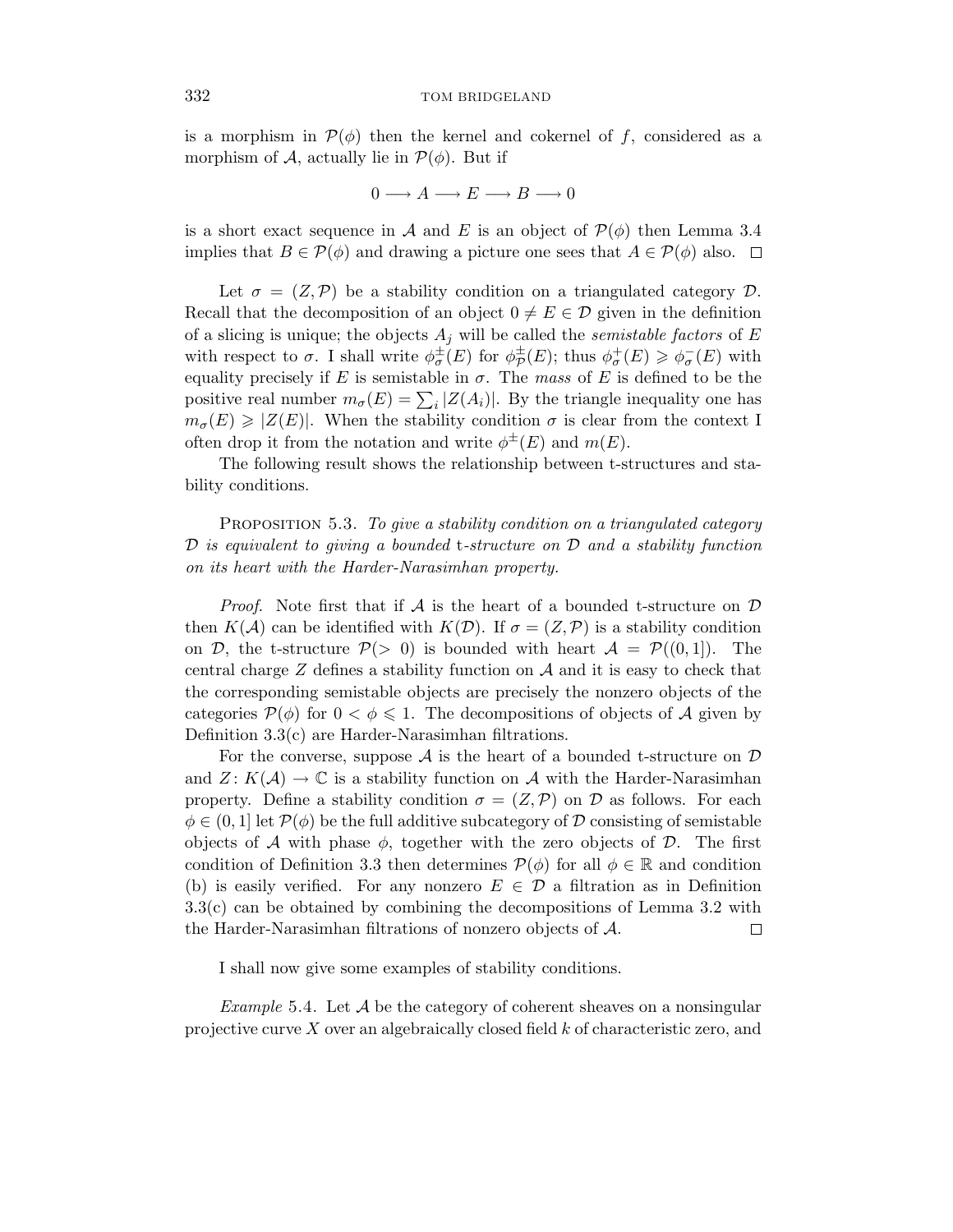is a morphism in  $\mathcal{P}(\phi)$  then the kernel and cokernel of f, considered as a morphism of A, actually lie in  $\mathcal{P}(\phi)$ . But if

$$
0 \longrightarrow A \longrightarrow E \longrightarrow B \longrightarrow 0
$$

is a short exact sequence in A and E is an object of  $\mathcal{P}(\phi)$  then Lemma 3.4 implies that  $B \in \mathcal{P}(\phi)$  and drawing a picture one sees that  $A \in \mathcal{P}(\phi)$  also.  $\Box$ 

Let  $\sigma = (Z, \mathcal{P})$  be a stability condition on a triangulated category  $\mathcal{D}$ . Recall that the decomposition of an object  $0 \neq E \in \mathcal{D}$  given in the definition of a slicing is unique; the objects  $A_j$  will be called the *semistable factors* of  $E$ with respect to  $\sigma$ . I shall write  $\phi_{\sigma}^{\pm}(E)$  for  $\phi_{\sigma}^{\pm}(E)$ ; thus  $\phi_{\sigma}^{+}(E) \geq \phi_{\sigma}^{-}(E)$  with equality precisely if  $E$  is semistable in  $\sigma$ . The mass of  $E$  is defined to be the positive real number  $m_{\sigma}(E) = \sum_{i} |Z(A_i)|$ . By the triangle inequality one has  $m_{\sigma}(E) \geq |Z(E)|$ . When the stability condition  $\sigma$  is clear from the context I often drop it from the notation and write  $\phi^{\pm}(E)$  and  $m(E)$ .

The following result shows the relationship between t-structures and stability conditions.

PROPOSITION 5.3. To give a stability condition on a triangulated category  $\mathcal D$  is equivalent to giving a bounded t-structure on  $\mathcal D$  and a stability function on its heart with the Harder-Narasimhan property.

*Proof.* Note first that if  $A$  is the heart of a bounded t-structure on  $D$ then  $K(\mathcal{A})$  can be identified with  $K(\mathcal{D})$ . If  $\sigma = (Z,\mathcal{P})$  is a stability condition on D, the t-structure  $P(> 0)$  is bounded with heart  $A = P((0,1])$ . The central charge *Z* defines a stability function on A and it is easy to check that the corresponding semistable objects are precisely the nonzero objects of the categories  $P(\phi)$  for  $0 < \phi \leq 1$ . The decompositions of objects of A given by Definition 3.3(c) are Harder-Narasimhan filtrations.

For the converse, suppose  $A$  is the heart of a bounded t-structure on  $D$ and  $Z: K(\mathcal{A}) \to \mathbb{C}$  is a stability function on  $\mathcal A$  with the Harder-Narasimhan property. Define a stability condition  $\sigma = (Z, \mathcal{P})$  on  $\mathcal{D}$  as follows. For each  $\phi \in (0,1]$  let  $\mathcal{P}(\phi)$  be the full additive subcategory of D consisting of semistable objects of A with phase  $\phi$ , together with the zero objects of D. The first condition of Definition 3.3 then determines  $\mathcal{P}(\phi)$  for all  $\phi \in \mathbb{R}$  and condition (b) is easily verified. For any nonzero  $E \in \mathcal{D}$  a filtration as in Definition 3.3(c) can be obtained by combining the decompositions of Lemma 3.2 with the Harder-Narasimhan filtrations of nonzero objects of A. 口

I shall now give some examples of stability conditions.

*Example* 5.4. Let  $\mathcal A$  be the category of coherent sheaves on a nonsingular projective curve *X* over an algebraically closed field *k* of characteristic zero, and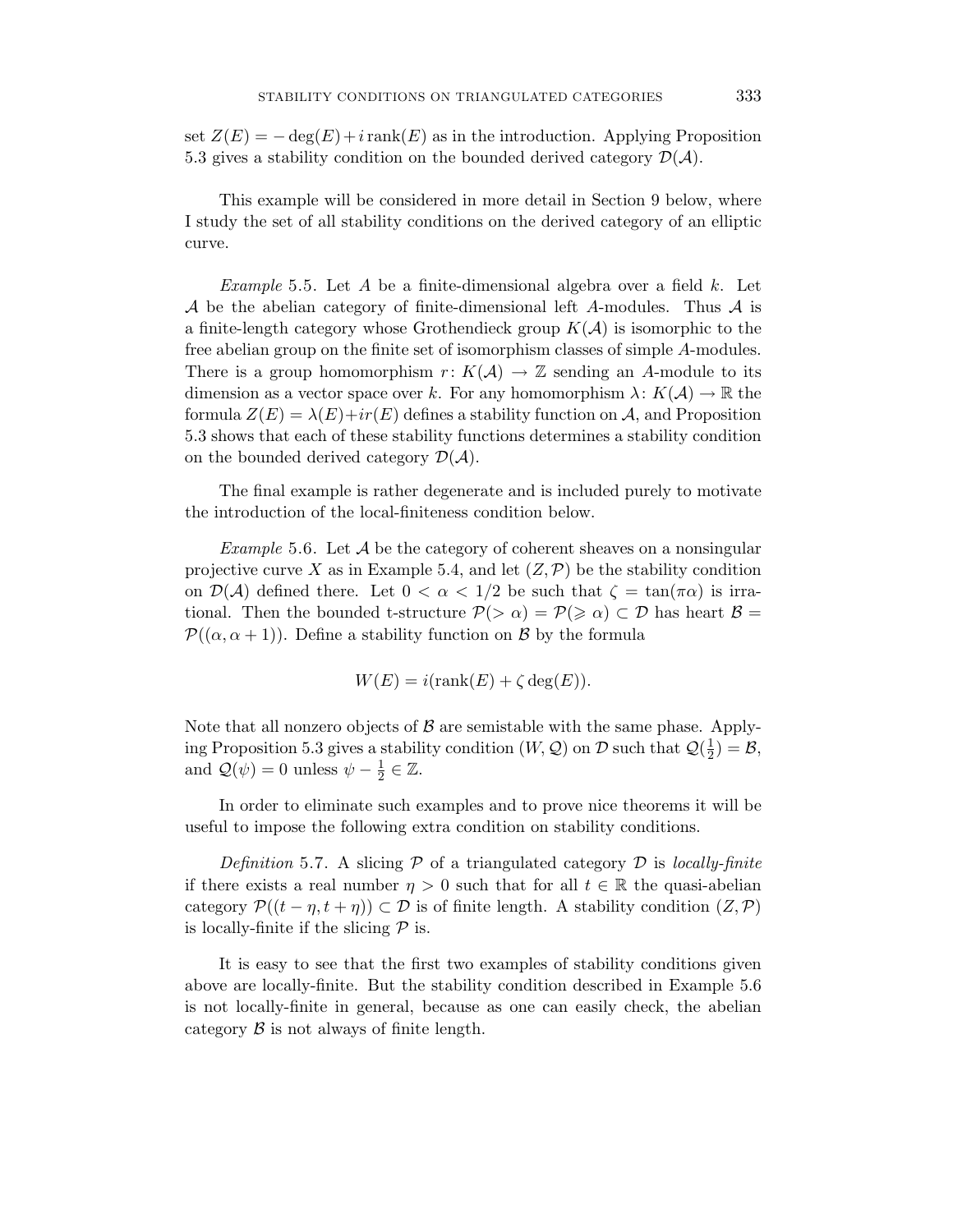set  $Z(E) = -\deg(E) + i\operatorname{rank}(E)$  as in the introduction. Applying Proposition 5.3 gives a stability condition on the bounded derived category  $\mathcal{D}(\mathcal{A})$ .

This example will be considered in more detail in Section 9 below, where I study the set of all stability conditions on the derived category of an elliptic curve.

Example 5.5. Let *A* be a finite-dimensional algebra over a field *k*. Let A be the abelian category of finite-dimensional left *A*-modules. Thus A is a finite-length category whose Grothendieck group  $K(\mathcal{A})$  is isomorphic to the free abelian group on the finite set of isomorphism classes of simple *A*-modules. There is a group homomorphism  $r: K(\mathcal{A}) \to \mathbb{Z}$  sending an A-module to its dimension as a vector space over *k*. For any homomorphism  $\lambda: K(\mathcal{A}) \to \mathbb{R}$  the formula  $Z(E) = \lambda(E) + ir(E)$  defines a stability function on A, and Proposition 5.3 shows that each of these stability functions determines a stability condition on the bounded derived category  $\mathcal{D}(\mathcal{A})$ .

The final example is rather degenerate and is included purely to motivate the introduction of the local-finiteness condition below.

*Example* 5.6. Let  $\mathcal A$  be the category of coherent sheaves on a nonsingular projective curve X as in Example 5.4, and let  $(Z, \mathcal{P})$  be the stability condition on  $\mathcal{D}(\mathcal{A})$  defined there. Let  $0 < \alpha < 1/2$  be such that  $\zeta = \tan(\pi \alpha)$  is irrational. Then the bounded t-structure  $P(>\alpha) = P(\geq \alpha) \subset \mathcal{D}$  has heart  $\mathcal{B} =$  $\mathcal{P}((\alpha,\alpha+1))$ . Define a stability function on B by the formula

$$
W(E) = i(\text{rank}(E) + \zeta \deg(E)).
$$

Note that all nonzero objects of  $\beta$  are semistable with the same phase. Applying Proposition 5.3 gives a stability condition  $(W, \mathcal{Q})$  on  $\mathcal{D}$  such that  $\mathcal{Q}(\frac{1}{2}) = \mathcal{B}$ , and  $\mathcal{Q}(\psi) = 0$  unless  $\psi - \frac{1}{2} \in \mathbb{Z}$ .

In order to eliminate such examples and to prove nice theorems it will be useful to impose the following extra condition on stability conditions.

Definition 5.7. A slicing  $P$  of a triangulated category  $D$  is locally-finite if there exists a real number  $\eta > 0$  such that for all  $t \in \mathbb{R}$  the quasi-abelian category  $\mathcal{P}((t - \eta, t + \eta)) \subset \mathcal{D}$  is of finite length. A stability condition  $(Z, \mathcal{P})$ is locally-finite if the slicing  $P$  is.

It is easy to see that the first two examples of stability conditions given above are locally-finite. But the stability condition described in Example 5.6 is not locally-finite in general, because as one can easily check, the abelian category  $\beta$  is not always of finite length.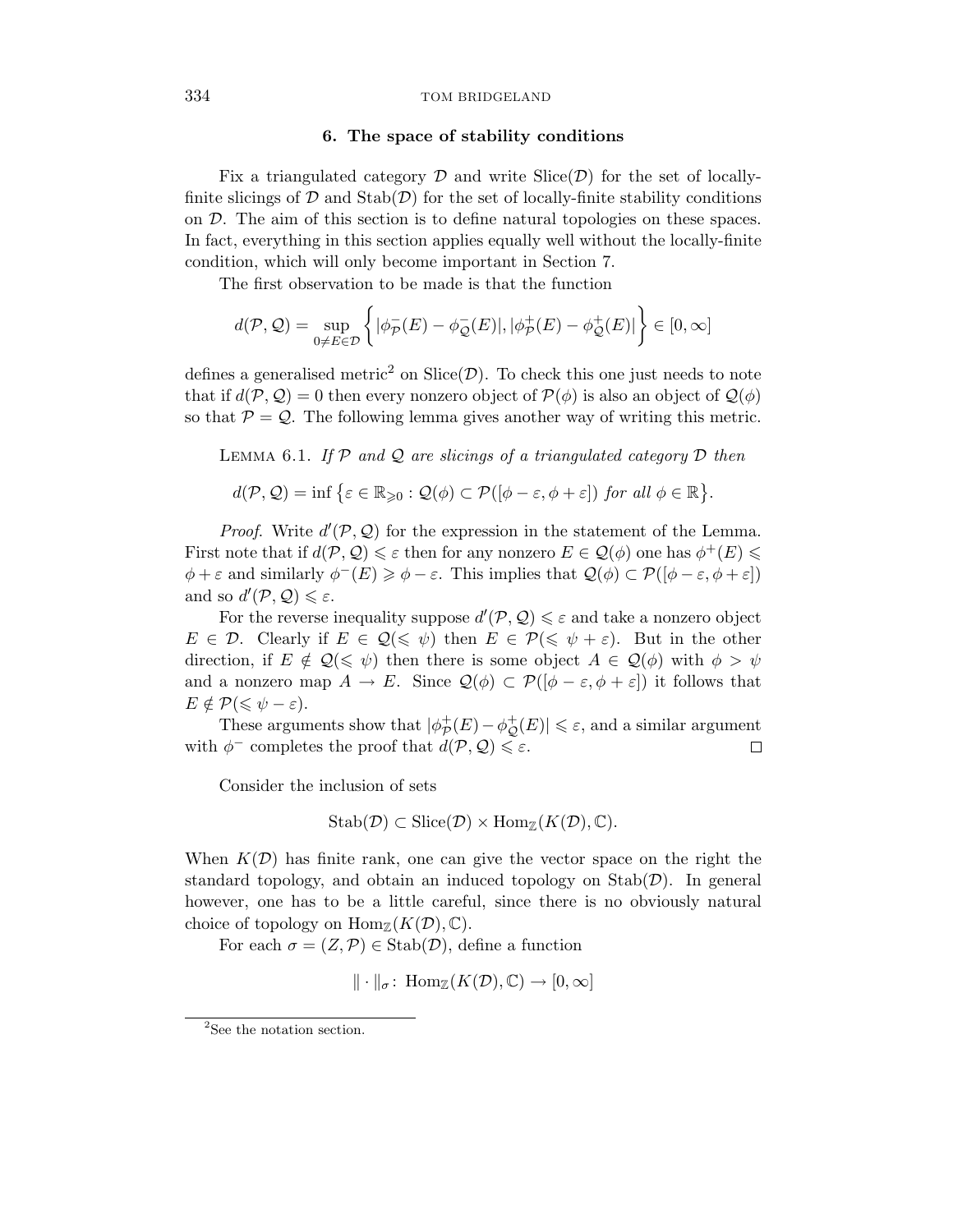# **6. The space of stability conditions**

Fix a triangulated category  $\mathcal D$  and write  $\text{Slice}(\mathcal D)$  for the set of locallyfinite slicings of  $\mathcal D$  and  $\text{Stab}(\mathcal D)$  for the set of locally-finite stability conditions on D. The aim of this section is to define natural topologies on these spaces. In fact, everything in this section applies equally well without the locally-finite condition, which will only become important in Section 7.

The first observation to be made is that the function

$$
d(\mathcal{P}, \mathcal{Q}) = \sup_{0 \neq E \in \mathcal{D}} \left\{ |\phi_{\mathcal{P}}^-(E) - \phi_{\mathcal{Q}}^-(E)|, |\phi_{\mathcal{P}}^+(E) - \phi_{\mathcal{Q}}^+(E)| \right\} \in [0, \infty]
$$

defines a generalised metric<sup>2</sup> on Slice( $\mathcal{D}$ ). To check this one just needs to note that if  $d(\mathcal{P}, \mathcal{Q}) = 0$  then every nonzero object of  $\mathcal{P}(\phi)$  is also an object of  $\mathcal{Q}(\phi)$ so that  $P = Q$ . The following lemma gives another way of writing this metric.

LEMMA 6.1. If  $P$  and  $Q$  are slicings of a triangulated category  $D$  then

$$
d(\mathcal{P}, \mathcal{Q}) = \inf \{ \varepsilon \in \mathbb{R}_{\geqslant 0} : \mathcal{Q}(\phi) \subset \mathcal{P}([\phi - \varepsilon, \phi + \varepsilon]) \text{ for all } \phi \in \mathbb{R} \}.
$$

*Proof.* Write  $d'(\mathcal{P}, \mathcal{Q})$  for the expression in the statement of the Lemma. First note that if  $d(\mathcal{P}, \mathcal{Q}) \leq \varepsilon$  then for any nonzero  $E \in \mathcal{Q}(\phi)$  one has  $\phi^+(E) \leq$  $\phi + \varepsilon$  and similarly  $\phi^{-}(E) \geq \phi - \varepsilon$ . This implies that  $\mathcal{Q}(\phi) \subset \mathcal{P}([\phi - \varepsilon, \phi + \varepsilon])$ and so  $d'(\mathcal{P}, \mathcal{Q}) \leq \varepsilon$ .

For the reverse inequality suppose  $d'(\mathcal{P}, \mathcal{Q}) \leq \varepsilon$  and take a nonzero object  $E \in \mathcal{D}$ . Clearly if  $E \in \mathcal{Q}(\leq \psi)$  then  $E \in \mathcal{P}(\leq \psi + \varepsilon)$ . But in the other direction, if  $E \notin \mathcal{Q}(\leq \psi)$  then there is some object  $A \in \mathcal{Q}(\phi)$  with  $\phi > \psi$ and a nonzero map  $A \to E$ . Since  $\mathcal{Q}(\phi) \subset \mathcal{P}([\phi - \varepsilon, \phi + \varepsilon])$  it follows that  $E \notin \mathcal{P}(\leqslant \psi - \varepsilon).$ 

These arguments show that  $|\phi^+_{\mathcal{P}}(E) - \phi^+_{\mathcal{Q}}(E)| \leq \varepsilon$ , and a similar argument with  $\phi^-$  completes the proof that  $d(\mathcal{P}, \mathcal{Q}) \leq \varepsilon$ .  $\Box$ 

Consider the inclusion of sets

$$
Stab(\mathcal{D}) \subset \text{Slice}(\mathcal{D}) \times \text{Hom}_{\mathbb{Z}}(K(\mathcal{D}), \mathbb{C}).
$$

When  $K(\mathcal{D})$  has finite rank, one can give the vector space on the right the standard topology, and obtain an induced topology on  $\text{Stab}(\mathcal{D})$ . In general however, one has to be a little careful, since there is no obviously natural choice of topology on  $\text{Hom}_{\mathbb{Z}}(K(\mathcal{D}), \mathbb{C})$ .

For each  $\sigma = (Z, \mathcal{P}) \in \text{Stab}(\mathcal{D})$ , define a function

$$
\|\cdot\|_{\sigma} \colon \operatorname{Hom}_{\mathbb{Z}}(K(\mathcal{D}), \mathbb{C}) \to [0, \infty]
$$

<sup>&</sup>lt;sup>2</sup>See the notation section.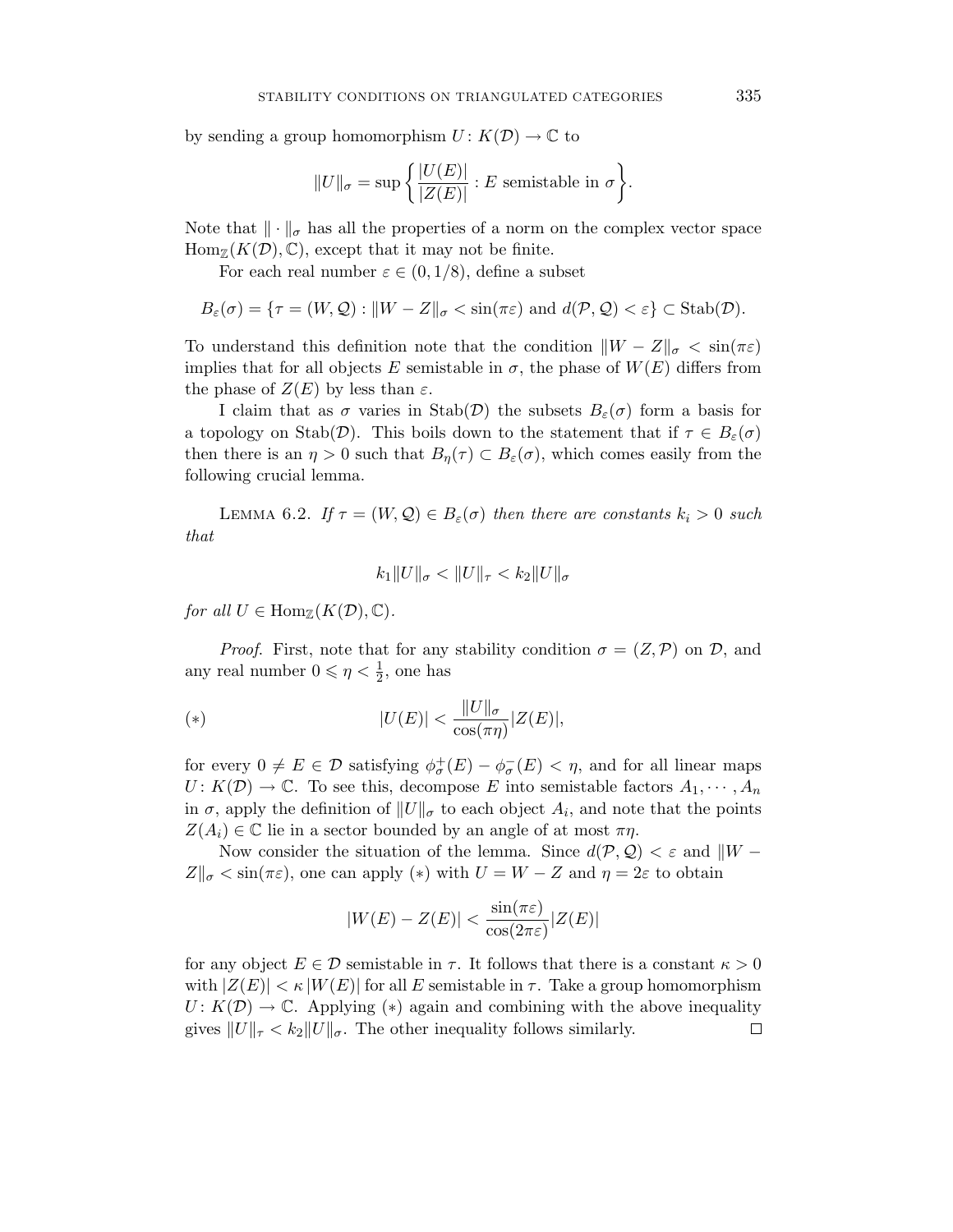by sending a group homomorphism  $U: K(\mathcal{D}) \to \mathbb{C}$  to

$$
||U||_{\sigma} = \sup \left\{ \frac{|U(E)|}{|Z(E)|} : E \text{ semistable in } \sigma \right\}.
$$

Note that  $\|\cdot\|_{\sigma}$  has all the properties of a norm on the complex vector space  $\text{Hom}_{\mathbb{Z}}(K(\mathcal{D}), \mathbb{C})$ , except that it may not be finite.

For each real number  $\varepsilon \in (0, 1/8)$ , define a subset

$$
B_{\varepsilon}(\sigma) = \{ \tau = (W, \mathcal{Q}) : ||W - Z||_{\sigma} < \sin(\pi \varepsilon) \text{ and } d(\mathcal{P}, \mathcal{Q}) < \varepsilon \} \subset \text{Stab}(\mathcal{D}).
$$

To understand this definition note that the condition  $\|W - Z\|_{\sigma} < \sin(\pi \varepsilon)$ implies that for all objects *E* semistable in  $\sigma$ , the phase of  $W(E)$  differs from the phase of  $Z(E)$  by less than  $\varepsilon$ .

I claim that as  $\sigma$  varies in Stab(D) the subsets  $B_{\varepsilon}(\sigma)$  form a basis for a topology on Stab( $\mathcal{D}$ ). This boils down to the statement that if  $\tau \in B_{\varepsilon}(\sigma)$ then there is an  $\eta > 0$  such that  $B_{\eta}(\tau) \subset B_{\varepsilon}(\sigma)$ , which comes easily from the following crucial lemma.

LEMMA 6.2. If  $\tau = (W, \mathcal{Q}) \in B_{\varepsilon}(\sigma)$  then there are constants  $k_i > 0$  such that

$$
k_1\|U\|_{\sigma} < \|U\|_{\tau} < k_2\|U\|_{\sigma}
$$

for all  $U \in \text{Hom}_{\mathbb{Z}}(K(\mathcal{D}), \mathbb{C})$ .

*Proof.* First, note that for any stability condition  $\sigma = (Z, \mathcal{P})$  on  $\mathcal{D}$ , and any real number  $0 \le \eta < \frac{1}{2}$ , one has

$$
|\Psi(x)| < \frac{\|U\|_{\sigma}}{\cos(\pi \eta)} |Z(E)|,
$$

for every  $0 \neq E \in \mathcal{D}$  satisfying  $\phi_{\sigma}^{+}(E) - \phi_{\sigma}^{-}(E) < \eta$ , and for all linear maps  $U: K(\mathcal{D}) \to \mathbb{C}$ . To see this, decompose *E* into semistable factors  $A_1, \dots, A_n$ in  $\sigma$ , apply the definition of  $||U||_{\sigma}$  to each object  $A_i$ , and note that the points  $Z(A_i) \in \mathbb{C}$  lie in a sector bounded by an angle of at most  $\pi \eta$ .

Now consider the situation of the lemma. Since  $d(\mathcal{P}, \mathcal{Q}) < \varepsilon$  and  $\|W - \mathcal{Q}\|$  $Z\|_{\sigma} < \sin(\pi \varepsilon)$ , one can apply (\*) with  $U = W - Z$  and  $\eta = 2\varepsilon$  to obtain

$$
|W(E) - Z(E)| < \frac{\sin(\pi \varepsilon)}{\cos(2\pi \varepsilon)} |Z(E)|
$$

for any object  $E \in \mathcal{D}$  semistable in  $\tau$ . It follows that there is a constant  $\kappa > 0$ with  $|Z(E)| < \kappa |W(E)|$  for all *E* semistable in  $\tau$ . Take a group homomorphism  $U: K(\mathcal{D}) \to \mathbb{C}$ . Applying (\*) again and combining with the above inequality gives  $||U||_{\tau} < k_2 ||U||_{\sigma}$ . The other inequality follows similarly.  $\Box$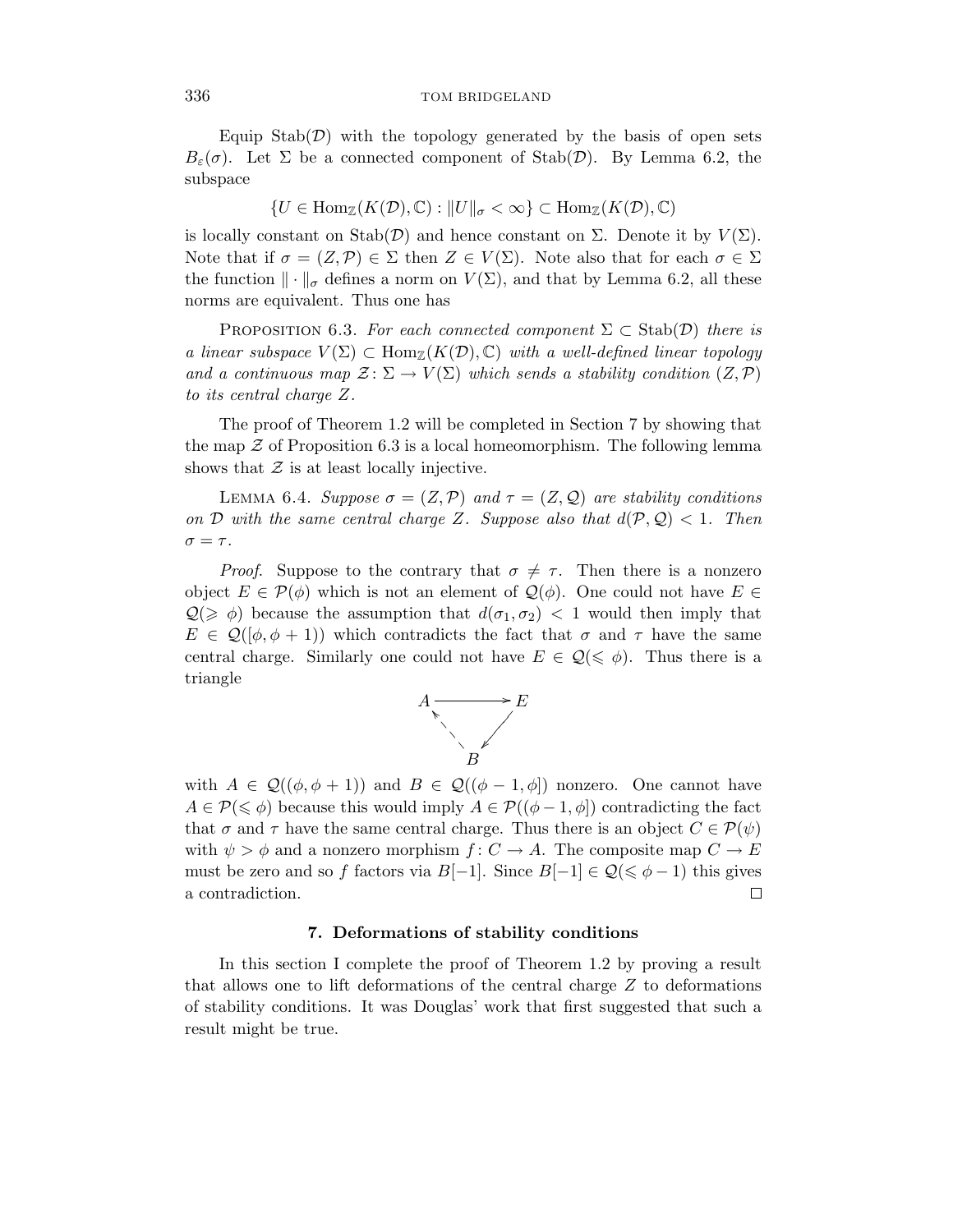Equip  $\text{Stab}(\mathcal{D})$  with the topology generated by the basis of open sets *B*<sub>ε</sub>(*σ*). Let Σ be a connected component of Stab(*D*). By Lemma 6.2, the subspace

$$
\{U\in \mathop{\operatorname {Hom}}\nolimits_{\Bbb Z}(K({\mathcal D}),{\Bbb C}): \|U\|_{\sigma}<\infty\}\subset \mathop{\operatorname {Hom}}\nolimits_{\Bbb Z}(K({\mathcal D}),{\Bbb C})
$$

is locally constant on Stab( $\mathcal{D}$ ) and hence constant on  $\Sigma$ . Denote it by  $V(\Sigma)$ . Note that if  $\sigma = (Z, \mathcal{P}) \in \Sigma$  then  $Z \in V(\Sigma)$ . Note also that for each  $\sigma \in \Sigma$ the function  $\|\cdot\|_{\sigma}$  defines a norm on  $V(\Sigma)$ , and that by Lemma 6.2, all these norms are equivalent. Thus one has

PROPOSITION 6.3. For each connected component  $\Sigma \subset \text{Stab}(\mathcal{D})$  there is a linear subspace  $V(\Sigma) \subset \text{Hom}_{\mathbb{Z}}(K(\mathcal{D}), \mathbb{C})$  with a well-defined linear topology and a continuous map  $\mathcal{Z} \colon \Sigma \to V(\Sigma)$  which sends a stability condition  $(Z, \mathcal{P})$ to its central charge *Z*.

The proof of Theorem 1.2 will be completed in Section 7 by showing that the map  $\mathcal Z$  of Proposition 6.3 is a local homeomorphism. The following lemma shows that  $\mathcal Z$  is at least locally injective.

LEMMA 6.4. Suppose  $\sigma = (Z, \mathcal{P})$  and  $\tau = (Z, \mathcal{Q})$  are stability conditions on D with the same central charge Z. Suppose also that  $d(\mathcal{P}, \mathcal{Q}) < 1$ . Then  $\sigma = \tau$ .

*Proof.* Suppose to the contrary that  $\sigma \neq \tau$ . Then there is a nonzero object  $E \in \mathcal{P}(\phi)$  which is not an element of  $\mathcal{Q}(\phi)$ . One could not have  $E \in$  $Q(\geq \phi)$  because the assumption that  $d(\sigma_1, \sigma_2)$  < 1 would then imply that  $E \in \mathcal{Q}(\phi, \phi + 1)$  which contradicts the fact that  $\sigma$  and  $\tau$  have the same central charge. Similarly one could not have  $E \in \mathcal{Q}(\leq \phi)$ . Thus there is a triangle



with  $A \in \mathcal{Q}((\phi, \phi + 1))$  and  $B \in \mathcal{Q}((\phi - 1, \phi))$  nonzero. One cannot have  $A \in \mathcal{P}(\leq \phi)$  because this would imply  $A \in \mathcal{P}((\phi - 1, \phi])$  contradicting the fact that  $\sigma$  and  $\tau$  have the same central charge. Thus there is an object  $C \in \mathcal{P}(\psi)$ with  $\psi > \phi$  and a nonzero morphism  $f: C \to A$ . The composite map  $C \to E$ must be zero and so *f* factors via  $B[-1]$ . Since  $B[-1] \in \mathcal{Q}(\leq \phi - 1)$  this gives a contradiction.  $\Box$ 

# **7. Deformations of stability conditions**

In this section I complete the proof of Theorem 1.2 by proving a result that allows one to lift deformations of the central charge *Z* to deformations of stability conditions. It was Douglas' work that first suggested that such a result might be true.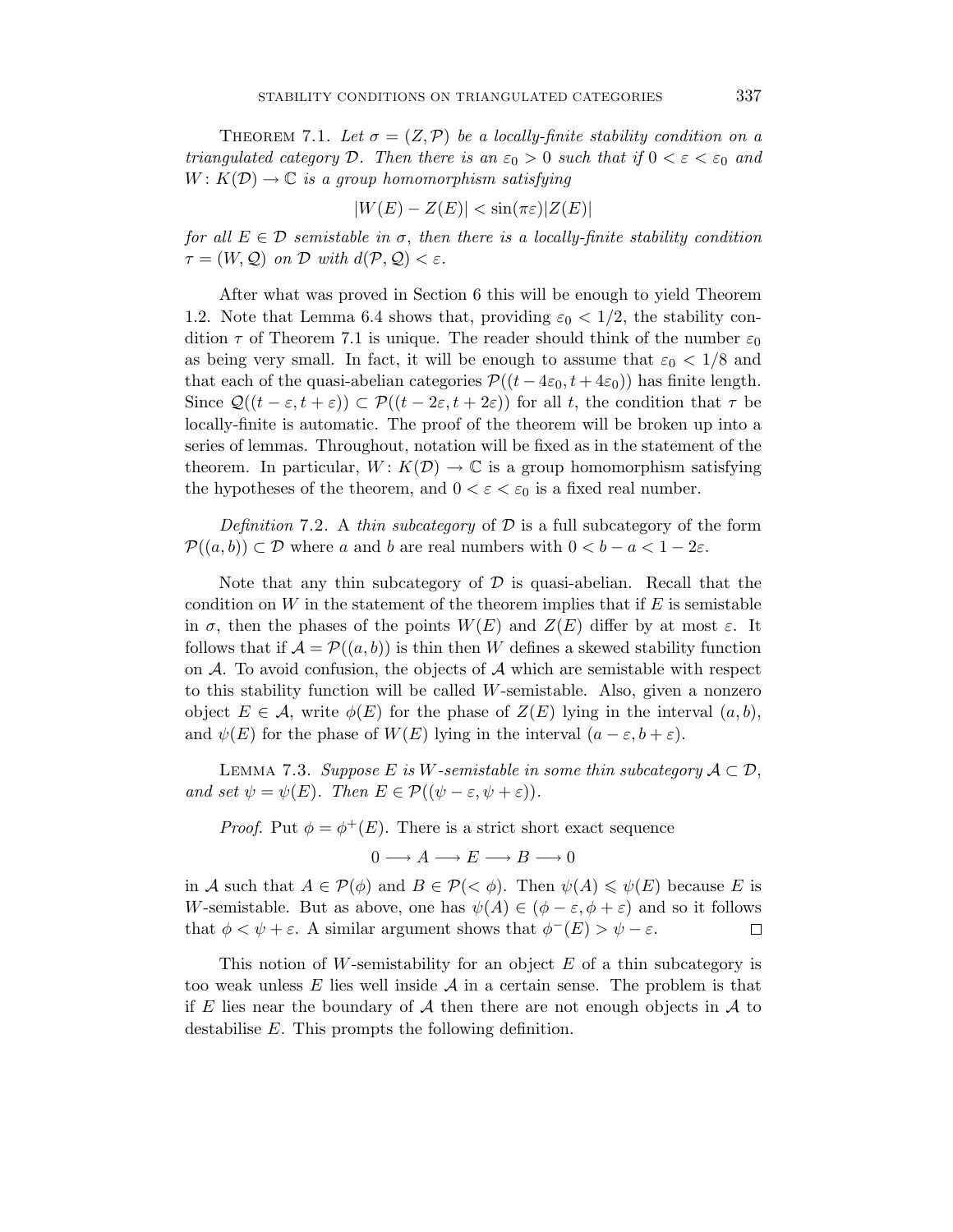THEOREM 7.1. Let  $\sigma = (Z, \mathcal{P})$  be a locally-finite stability condition on a triangulated category D. Then there is an  $\varepsilon_0 > 0$  such that if  $0 < \varepsilon < \varepsilon_0$  and  $W: K(\mathcal{D}) \to \mathbb{C}$  *is a group homomorphism satisfying* 

$$
|W(E) - Z(E)| < \sin(\pi \varepsilon) |Z(E)|
$$

for all  $E \in \mathcal{D}$  semistable in  $\sigma$ , then there is a locally-finite stability condition  $\tau = (W, \mathcal{Q})$  on  $\mathcal{D}$  with  $d(\mathcal{P}, \mathcal{Q}) < \varepsilon$ .

After what was proved in Section 6 this will be enough to yield Theorem 1.2. Note that Lemma 6.4 shows that, providing  $\varepsilon_0 < 1/2$ , the stability condition  $\tau$  of Theorem 7.1 is unique. The reader should think of the number  $\varepsilon_0$ as being very small. In fact, it will be enough to assume that  $\varepsilon_0 < 1/8$  and that each of the quasi-abelian categories  $\mathcal{P}((t-4\varepsilon_0, t+4\varepsilon_0))$  has finite length. Since  $\mathcal{Q}((t-\varepsilon,t+\varepsilon)) \subset \mathcal{P}((t-2\varepsilon,t+2\varepsilon))$  for all t, the condition that  $\tau$  be locally-finite is automatic. The proof of the theorem will be broken up into a series of lemmas. Throughout, notation will be fixed as in the statement of the theorem. In particular,  $W: K(\mathcal{D}) \to \mathbb{C}$  is a group homomorphism satisfying the hypotheses of the theorem, and  $0 < \varepsilon < \varepsilon_0$  is a fixed real number.

Definition 7.2. A thin subcategory of  $\mathcal D$  is a full subcategory of the form  $\mathcal{P}((a, b)) \subset \mathcal{D}$  where *a* and *b* are real numbers with  $0 < b - a < 1 - 2\varepsilon$ .

Note that any thin subcategory of  $\mathcal D$  is quasi-abelian. Recall that the condition on *W* in the statement of the theorem implies that if *E* is semistable in  $\sigma$ , then the phases of the points  $W(E)$  and  $Z(E)$  differ by at most  $\varepsilon$ . It follows that if  $\mathcal{A} = \mathcal{P}((a, b))$  is thin then *W* defines a skewed stability function on  $A$ . To avoid confusion, the objects of  $A$  which are semistable with respect to this stability function will be called *W*-semistable. Also, given a nonzero object  $E \in \mathcal{A}$ , write  $\phi(E)$  for the phase of  $Z(E)$  lying in the interval  $(a, b)$ , and  $\psi(E)$  for the phase of  $W(E)$  lying in the interval  $(a - \varepsilon, b + \varepsilon)$ .

LEMMA 7.3. Suppose *E* is *W*-semistable in some thin subcategory  $A \subset \mathcal{D}$ , and set  $\psi = \psi(E)$ . Then  $E \in \mathcal{P}((\psi - \varepsilon, \psi + \varepsilon))$ .

*Proof.* Put  $\phi = \phi^+(E)$ . There is a strict short exact sequence

$$
0\longrightarrow A\longrightarrow E\longrightarrow B\longrightarrow 0
$$

in *A* such that  $A \in \mathcal{P}(\phi)$  and  $B \in \mathcal{P}( $\phi$ ). Then  $\psi(A) \leq \psi(E)$  because E is$ *W*-semistable. But as above, one has  $\psi(A) \in (\phi - \varepsilon, \phi + \varepsilon)$  and so it follows that  $\phi < \psi + \varepsilon$ . A similar argument shows that  $\phi^{-}(E) > \psi - \varepsilon$ .  $\Box$ 

This notion of *W*-semistability for an object *E* of a thin subcategory is too weak unless *E* lies well inside A in a certain sense. The problem is that if *E* lies near the boundary of  $A$  then there are not enough objects in  $A$  to destabilise *E*. This prompts the following definition.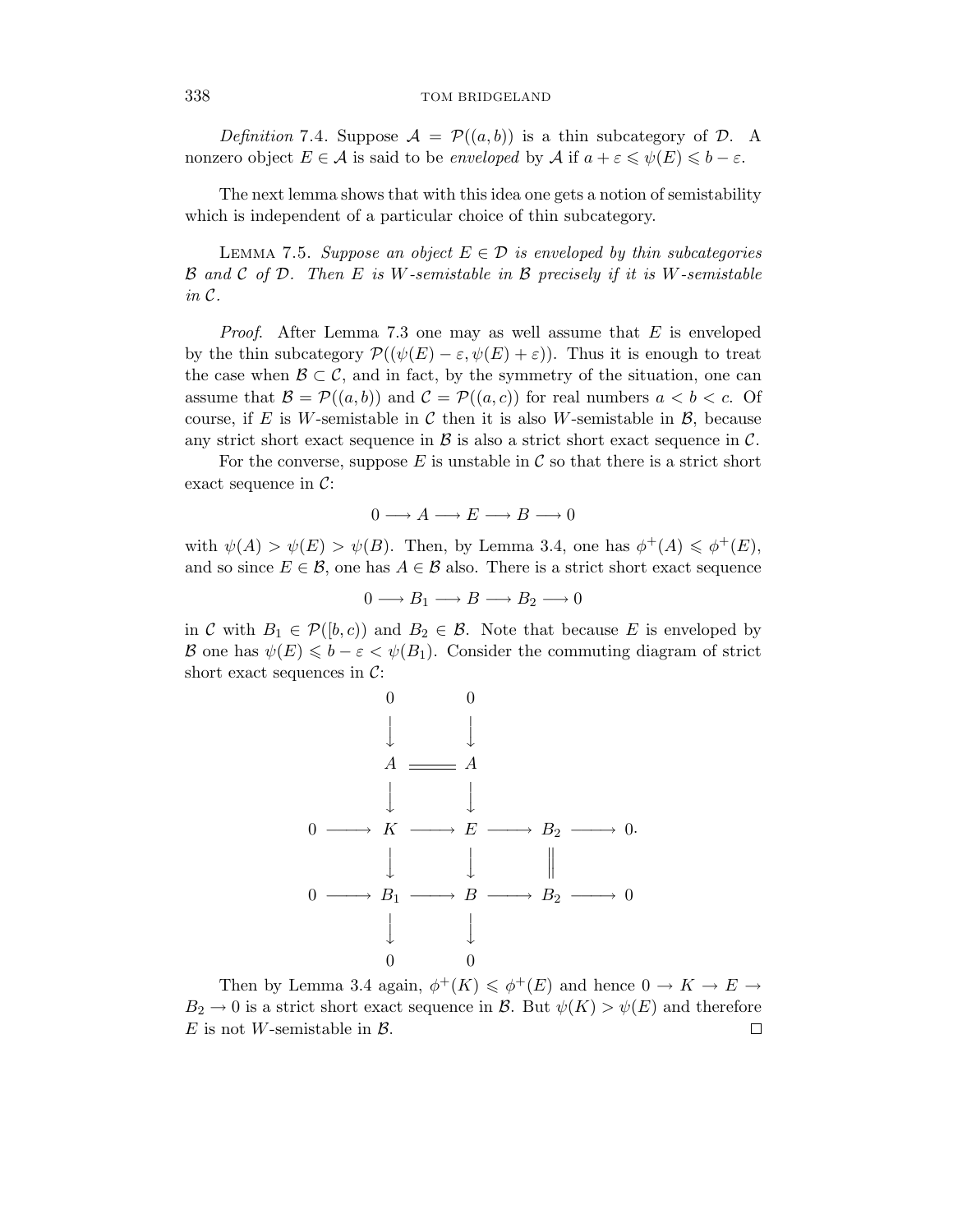Definition 7.4. Suppose  $\mathcal{A} = \mathcal{P}((a, b))$  is a thin subcategory of  $\mathcal{D}$ . A nonzero object  $E \in \mathcal{A}$  is said to be *enveloped* by  $\mathcal{A}$  if  $a + \varepsilon \leq \psi(E) \leq b - \varepsilon$ .

The next lemma shows that with this idea one gets a notion of semistability which is independent of a particular choice of thin subcategory.

LEMMA 7.5. Suppose an object  $E \in \mathcal{D}$  is enveloped by thin subcategories B and C of D. Then *E* is *W*-semistable in B precisely if it is *W*-semistable in C.

Proof. After Lemma 7.3 one may as well assume that *E* is enveloped by the thin subcategory  $\mathcal{P}((\psi(E) - \varepsilon, \psi(E) + \varepsilon))$ . Thus it is enough to treat the case when  $\mathcal{B} \subset \mathcal{C}$ , and in fact, by the symmetry of the situation, one can assume that  $\mathcal{B} = \mathcal{P}((a, b))$  and  $\mathcal{C} = \mathcal{P}((a, c))$  for real numbers  $a < b < c$ . Of course, if  $E$  is W-semistable in  $C$  then it is also W-semistable in  $\mathcal{B}$ , because any strict short exact sequence in  $\beta$  is also a strict short exact sequence in  $\beta$ .

For the converse, suppose  $E$  is unstable in  $\mathcal C$  so that there is a strict short exact sequence in  $\mathcal{C}$ :

$$
0 \longrightarrow A \longrightarrow E \longrightarrow B \longrightarrow 0
$$

with  $\psi(A) > \psi(E) > \psi(B)$ . Then, by Lemma 3.4, one has  $\phi^+(A) \leq \phi^+(E)$ , and so since  $E \in \mathcal{B}$ , one has  $A \in \mathcal{B}$  also. There is a strict short exact sequence

$$
0 \longrightarrow B_1 \longrightarrow B \longrightarrow B_2 \longrightarrow 0
$$

in C with  $B_1 \in \mathcal{P}([b,c))$  and  $B_2 \in \mathcal{B}$ . Note that because E is enveloped by B one has  $\psi(E) \leq b - \varepsilon < \psi(B_1)$ . Consider the commuting diagram of strict short exact sequences in  $C$ :



Then by Lemma 3.4 again,  $\phi^+(K) \leq \phi^+(E)$  and hence  $0 \to K \to E \to$  $B_2 \to 0$  is a strict short exact sequence in B. But  $\psi(K) > \psi(E)$  and therefore *E* is not *W*-semistable in  $\beta$ . □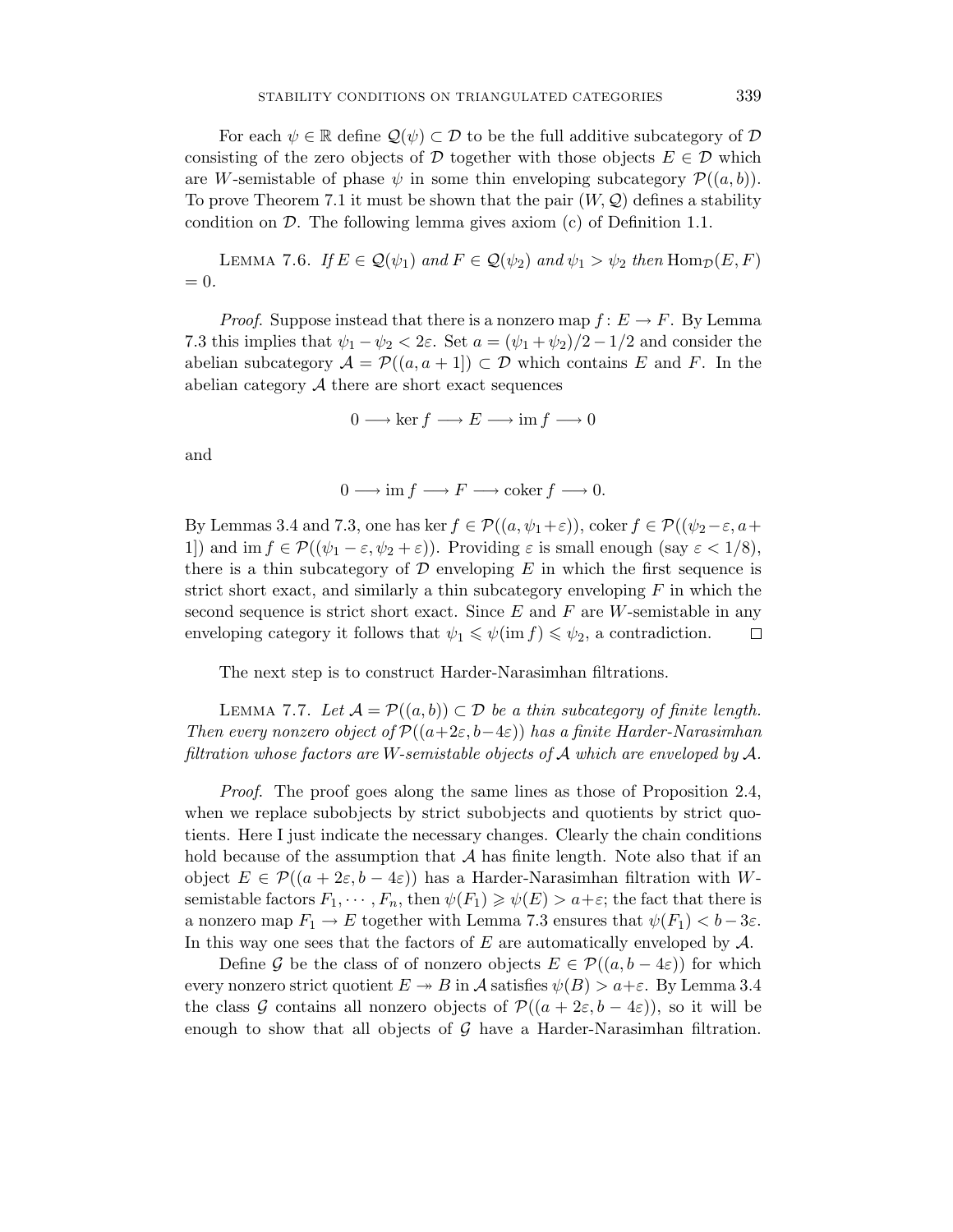For each  $\psi \in \mathbb{R}$  define  $\mathcal{Q}(\psi) \subset \mathcal{D}$  to be the full additive subcategory of  $\mathcal D$ consisting of the zero objects of  $D$  together with those objects  $E \in D$  which are *W*-semistable of phase  $\psi$  in some thin enveloping subcategory  $\mathcal{P}((a, b))$ . To prove Theorem 7.1 it must be shown that the pair  $(W, \mathcal{Q})$  defines a stability condition on  $D$ . The following lemma gives axiom  $(c)$  of Definition 1.1.

LEMMA 7.6. If  $E \in \mathcal{Q}(\psi_1)$  and  $F \in \mathcal{Q}(\psi_2)$  and  $\psi_1 > \psi_2$  then  $\text{Hom}_{\mathcal{D}}(E, F)$  $= 0.$ 

*Proof.* Suppose instead that there is a nonzero map  $f: E \to F$ . By Lemma 7.3 this implies that  $\psi_1 - \psi_2 < 2\varepsilon$ . Set  $a = (\psi_1 + \psi_2)/2 - 1/2$  and consider the abelian subcategory  $A = \mathcal{P}((a, a + 1]) \subset \mathcal{D}$  which contains *E* and *F*. In the abelian category  $A$  there are short exact sequences

$$
0 \longrightarrow \ker f \longrightarrow E \longrightarrow \operatorname{im} f \longrightarrow 0
$$

and

$$
0 \longrightarrow \text{im } f \longrightarrow F \longrightarrow \text{coker } f \longrightarrow 0.
$$

By Lemmas 3.4 and 7.3, one has ker  $f \in \mathcal{P}((a, \psi_1 + \varepsilon))$ , coker  $f \in \mathcal{P}((\psi_2 - \varepsilon, a +$ 1]) and im  $f \in \mathcal{P}((\psi_1 - \varepsilon, \psi_2 + \varepsilon))$ . Providing  $\varepsilon$  is small enough (say  $\varepsilon < 1/8$ ), there is a thin subcategory of  $D$  enveloping  $E$  in which the first sequence is strict short exact, and similarly a thin subcategory enveloping *F* in which the second sequence is strict short exact. Since *E* and *F* are *W*-semistable in any enveloping category it follows that  $\psi_1 \leq \psi(\text{im } f) \leq \psi_2$ , a contradiction.  $\Box$ 

The next step is to construct Harder-Narasimhan filtrations.

LEMMA 7.7. Let  $\mathcal{A} = \mathcal{P}((a, b)) \subset \mathcal{D}$  be a thin subcategory of finite length. Then every nonzero object of  $\mathcal{P}((a+2\varepsilon,b-4\varepsilon))$  has a finite Harder-Narasimhan filtration whose factors are *W*-semistable objects of A which are enveloped by A.

Proof. The proof goes along the same lines as those of Proposition 2.4, when we replace subobjects by strict subobjects and quotients by strict quotients. Here I just indicate the necessary changes. Clearly the chain conditions hold because of the assumption that  $A$  has finite length. Note also that if an object  $E \in \mathcal{P}((a + 2\varepsilon, b - 4\varepsilon))$  has a Harder-Narasimhan filtration with *W*semistable factors  $F_1, \dots, F_n$ , then  $\psi(F_1) \geq \psi(E) > a + \varepsilon$ ; the fact that there is a nonzero map  $F_1 \to E$  together with Lemma 7.3 ensures that  $\psi(F_1) < b - 3\varepsilon$ . In this way one sees that the factors of *E* are automatically enveloped by A.

Define G be the class of of nonzero objects  $E \in \mathcal{P}((a, b - 4\varepsilon))$  for which every nonzero strict quotient  $E \rightarrow B$  in A satisfies  $\psi(B) > a + \varepsilon$ . By Lemma 3.4 the class G contains all nonzero objects of  $\mathcal{P}((a + 2\varepsilon, b - 4\varepsilon))$ , so it will be enough to show that all objects of  $\mathcal G$  have a Harder-Narasimhan filtration.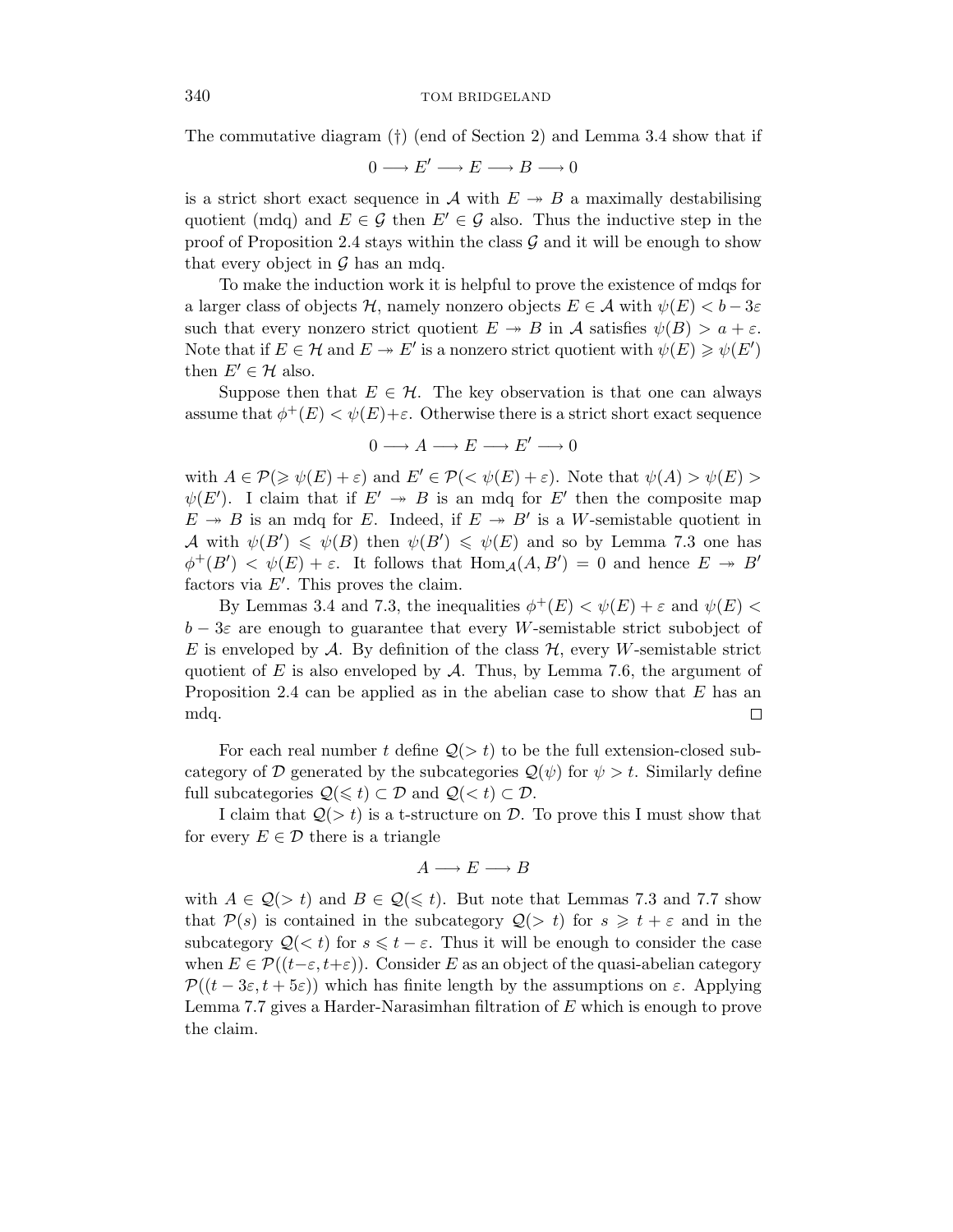The commutative diagram (†) (end of Section 2) and Lemma 3.4 show that if

$$
0\longrightarrow E'\longrightarrow E\longrightarrow B\longrightarrow 0
$$

is a strict short exact sequence in A with  $E \rightarrow B$  a maximally destabilising quotient (mdq) and  $E \in \mathcal{G}$  then  $E' \in \mathcal{G}$  also. Thus the inductive step in the proof of Proposition 2.4 stays within the class  $\mathcal G$  and it will be enough to show that every object in  $\mathcal G$  has an mdq.

To make the induction work it is helpful to prove the existence of mdqs for a larger class of objects  $H$ , namely nonzero objects  $E \in \mathcal{A}$  with  $\psi(E) < b - 3\varepsilon$ such that every nonzero strict quotient  $E \rightarrow B$  in A satisfies  $\psi(B) > a + \varepsilon$ . Note that if  $E \in \mathcal{H}$  and  $E \twoheadrightarrow E'$  is a nonzero strict quotient with  $\psi(E) \geq \psi(E')$ then  $E' \in \mathcal{H}$  also.

Suppose then that  $E \in \mathcal{H}$ . The key observation is that one can always assume that  $\phi^+(E) < \psi(E)+\varepsilon$ . Otherwise there is a strict short exact sequence

$$
0 \longrightarrow A \longrightarrow E \longrightarrow E' \longrightarrow 0
$$

with  $A \in \mathcal{P}(\geq \psi(E) + \varepsilon)$  and  $E' \in \mathcal{P}(\leq \psi(E) + \varepsilon)$ . Note that  $\psi(A) > \psi(E)$  $\psi(E')$ . I claim that if  $E' \rightarrow B$  is an mdq for  $E'$  then the composite map  $E \rightarrow B$  is an mdq for *E*. Indeed, if  $E \rightarrow B'$  is a *W*-semistable quotient in  $\mathcal{A}$  with  $\psi(B') \leq \psi(B)$  then  $\psi(B') \leq \psi(E)$  and so by Lemma 7.3 one has  $\phi^+(B') < \psi(E) + \varepsilon$ . It follows that  $\text{Hom}_{\mathcal{A}}(A, B') = 0$  and hence  $E \to B'$ factors via *E* . This proves the claim.

By Lemmas 3.4 and 7.3, the inequalities  $\phi^+(E) < \psi(E) + \varepsilon$  and  $\psi(E) <$ *b* − 3*ε* are enough to guarantee that every *W*-semistable strict subobject of *E* is enveloped by A. By definition of the class  $H$ , every *W*-semistable strict quotient of  $E$  is also enveloped by  $\mathcal A$ . Thus, by Lemma 7.6, the argument of Proposition 2.4 can be applied as in the abelian case to show that *E* has an mdq.  $\Box$ 

For each real number *t* define  $Q(> t)$  to be the full extension-closed subcategory of D generated by the subcategories  $\mathcal{Q}(\psi)$  for  $\psi > t$ . Similarly define full subcategories  $Q(\leq t) \subset \mathcal{D}$  and  $Q(< t) \subset \mathcal{D}$ .

I claim that  $Q(> t)$  is a t-structure on D. To prove this I must show that for every  $E \in \mathcal{D}$  there is a triangle

$$
A \longrightarrow E \longrightarrow B
$$

with  $A \in \mathcal{Q}(> t)$  and  $B \in \mathcal{Q}(\leq t)$ . But note that Lemmas 7.3 and 7.7 show that  $\mathcal{P}(s)$  is contained in the subcategory  $\mathcal{Q}(> t)$  for  $s \geq t + \varepsilon$  and in the subcategory  $Q(\langle t \rangle)$  for  $s \leq t - \varepsilon$ . Thus it will be enough to consider the case when  $E \in \mathcal{P}((t-\varepsilon,t+\varepsilon))$ . Consider *E* as an object of the quasi-abelian category  $\mathcal{P}((t-3\varepsilon,t+5\varepsilon))$  which has finite length by the assumptions on  $\varepsilon$ . Applying Lemma 7.7 gives a Harder-Narasimhan filtration of *E* which is enough to prove the claim.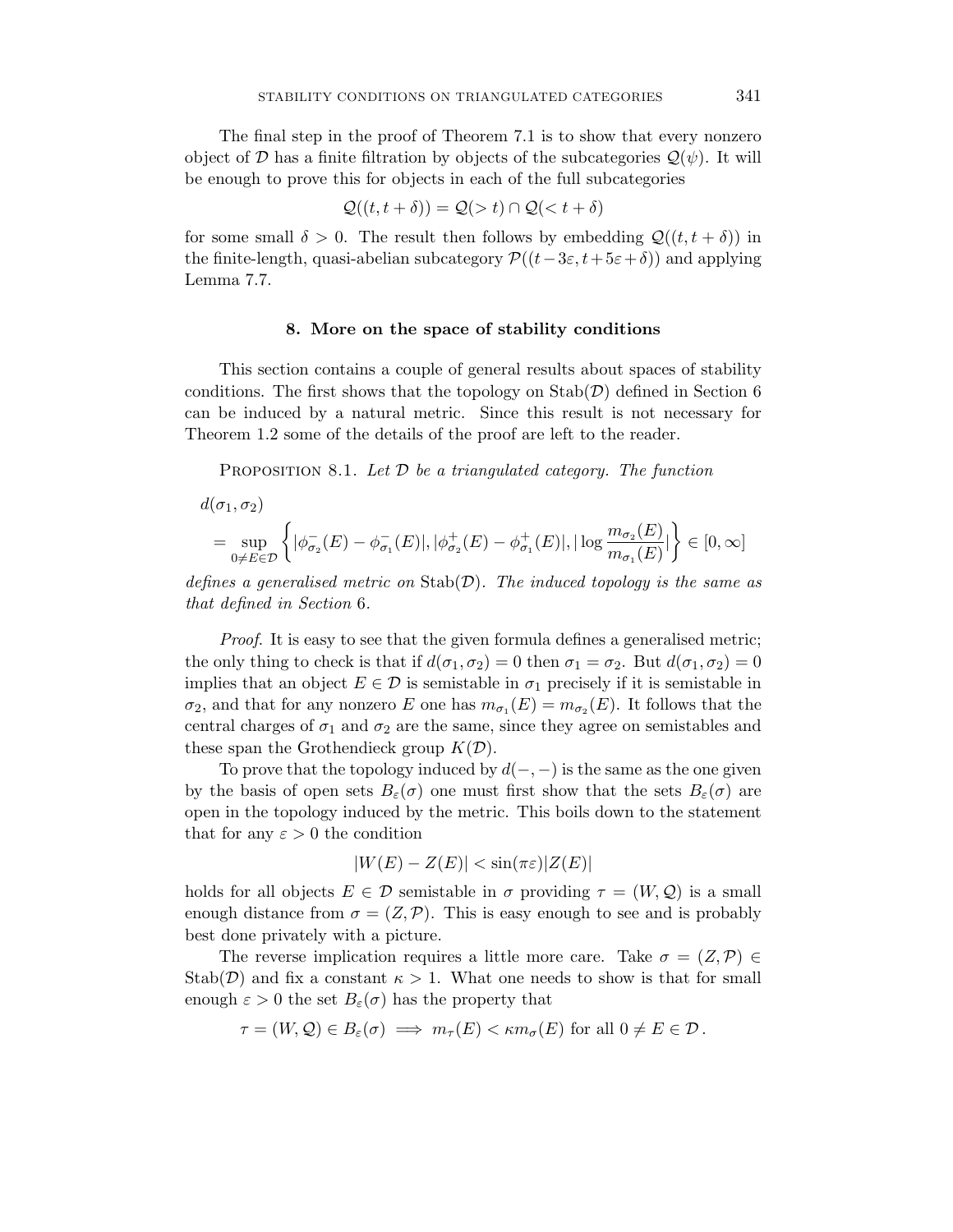The final step in the proof of Theorem 7.1 is to show that every nonzero object of D has a finite filtration by objects of the subcategories  $\mathcal{Q}(\psi)$ . It will be enough to prove this for objects in each of the full subcategories

$$
\mathcal{Q}((t, t + \delta)) = \mathcal{Q}(> t) \cap \mathcal{Q}(< t + \delta)
$$

for some small  $\delta > 0$ . The result then follows by embedding  $\mathcal{Q}((t, t + \delta))$  in the finite-length, quasi-abelian subcategory  $\mathcal{P}((t-3\varepsilon,t+5\varepsilon+\delta))$  and applying Lemma 7.7.

#### **8. More on the space of stability conditions**

This section contains a couple of general results about spaces of stability conditions. The first shows that the topology on  $\text{Stab}(\mathcal{D})$  defined in Section 6 can be induced by a natural metric. Since this result is not necessary for Theorem 1.2 some of the details of the proof are left to the reader.

PROPOSITION 8.1. Let  $\mathcal D$  be a triangulated category. The function

$$
d(\sigma_1, \sigma_2)
$$
  
= 
$$
\sup_{0 \neq E \in \mathcal{D}} \left\{ |\phi_{\sigma_2}^-(E) - \phi_{\sigma_1}^-(E)|, |\phi_{\sigma_2}^+(E) - \phi_{\sigma_1}^+(E)|, |\log \frac{m_{\sigma_2}(E)}{m_{\sigma_1}(E)}| \right\} \in [0, \infty]
$$

defines a generalised metric on  $\text{Stab}(\mathcal{D})$ . The induced topology is the same as that defined in Section 6.

Proof. It is easy to see that the given formula defines a generalised metric; the only thing to check is that if  $d(\sigma_1, \sigma_2) = 0$  then  $\sigma_1 = \sigma_2$ . But  $d(\sigma_1, \sigma_2) = 0$ implies that an object  $E \in \mathcal{D}$  is semistable in  $\sigma_1$  precisely if it is semistable in  $\sigma_2$ , and that for any nonzero *E* one has  $m_{\sigma_1}(E) = m_{\sigma_2}(E)$ . It follows that the central charges of  $\sigma_1$  and  $\sigma_2$  are the same, since they agree on semistables and these span the Grothendieck group  $K(\mathcal{D})$ .

To prove that the topology induced by  $d(-,-)$  is the same as the one given by the basis of open sets  $B_{\varepsilon}(\sigma)$  one must first show that the sets  $B_{\varepsilon}(\sigma)$  are open in the topology induced by the metric. This boils down to the statement that for any  $\varepsilon > 0$  the condition

$$
|W(E) - Z(E)| < \sin(\pi \varepsilon) |Z(E)|
$$

holds for all objects  $E \in \mathcal{D}$  semistable in  $\sigma$  providing  $\tau = (W, \mathcal{Q})$  is a small enough distance from  $\sigma = (Z, \mathcal{P})$ . This is easy enough to see and is probably best done privately with a picture.

The reverse implication requires a little more care. Take  $\sigma = (Z, \mathcal{P}) \in$ Stab( $\mathcal{D}$ ) and fix a constant  $\kappa > 1$ . What one needs to show is that for small enough  $\varepsilon > 0$  the set  $B_{\varepsilon}(\sigma)$  has the property that

$$
\tau = (W, \mathcal{Q}) \in B_{\varepsilon}(\sigma) \implies m_{\tau}(E) < \kappa m_{\sigma}(E) \text{ for all } 0 \neq E \in \mathcal{D}.
$$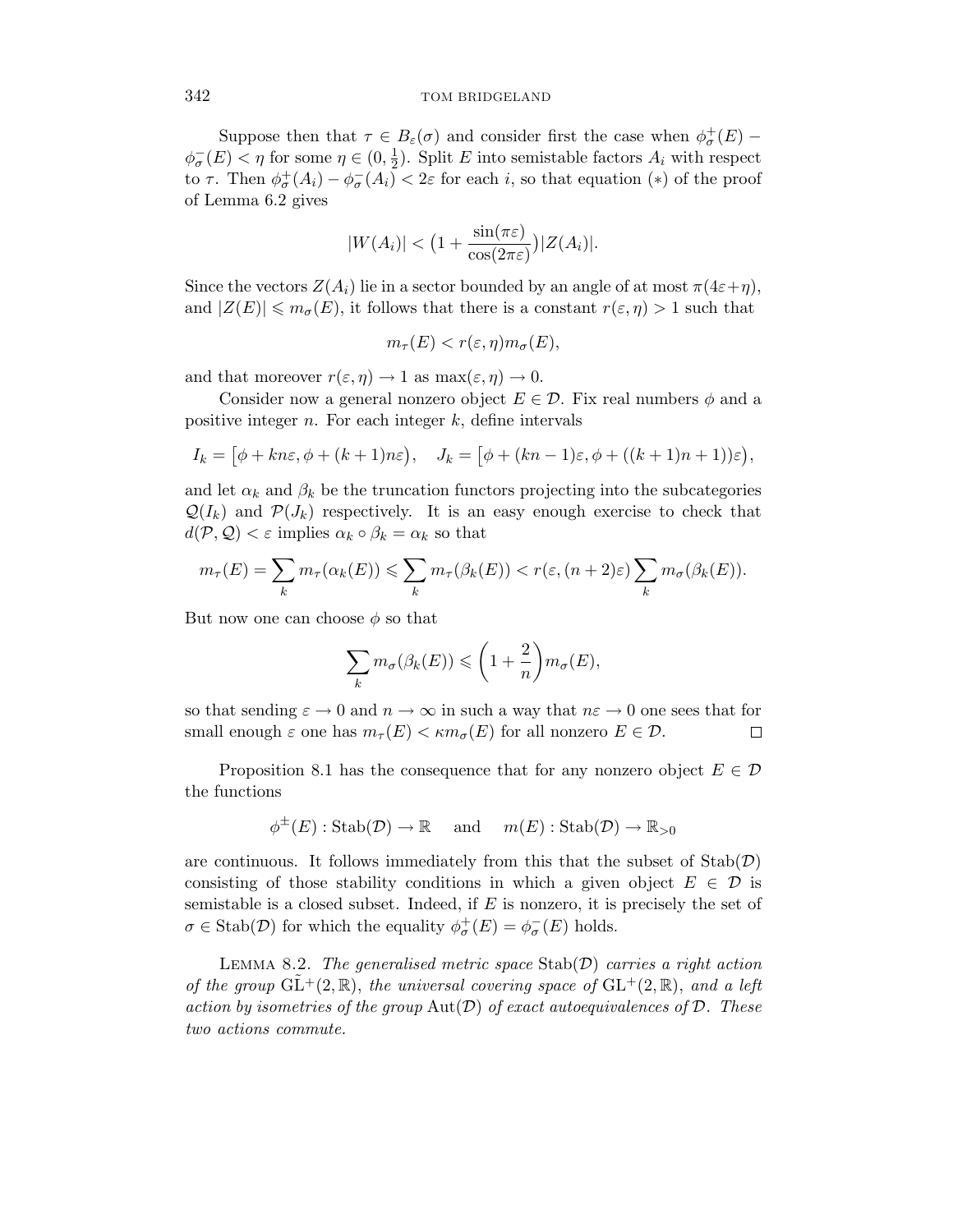Suppose then that  $\tau \in B_{\varepsilon}(\sigma)$  and consider first the case when  $\phi_{\sigma}^{+}(E)$  –  $\phi_{\sigma}^{-}(E) < \eta$  for some  $\eta \in (0, \frac{1}{2})$ . Split *E* into semistable factors  $A_i$  with respect to *τ*. Then  $\phi_{\sigma}^{+}(A_i) - \phi_{\sigma}^{-}(A_i) < 2\varepsilon$  for each *i*, so that equation (\*) of the proof of Lemma 6.2 gives

$$
|W(A_i)| < \big(1 + \frac{\sin(\pi \varepsilon)}{\cos(2\pi \varepsilon)}\big)|Z(A_i)|.
$$

Since the vectors  $Z(A_i)$  lie in a sector bounded by an angle of at most  $\pi(4\varepsilon+\eta)$ , and  $|Z(E)| \leq m_{\sigma}(E)$ , it follows that there is a constant  $r(\varepsilon, \eta) > 1$  such that

$$
m_{\tau}(E) < r(\varepsilon, \eta) m_{\sigma}(E),
$$

and that moreover  $r(\varepsilon, \eta) \to 1$  as  $\max(\varepsilon, \eta) \to 0$ .

Consider now a general nonzero object  $E \in \mathcal{D}$ . Fix real numbers  $\phi$  and a positive integer *n*. For each integer *k*, define intervals

$$
I_k = [\phi + kn\varepsilon, \phi + (k+1)n\varepsilon), \quad J_k = [\phi + (kn-1)\varepsilon, \phi + ((k+1)n+1))\varepsilon],
$$

and let  $\alpha_k$  and  $\beta_k$  be the truncation functors projecting into the subcategories  $\mathcal{Q}(I_k)$  and  $\mathcal{P}(J_k)$  respectively. It is an easy enough exercise to check that  $d(\mathcal{P}, \mathcal{Q}) < \varepsilon$  implies  $\alpha_k \circ \beta_k = \alpha_k$  so that

$$
m_{\tau}(E) = \sum_{k} m_{\tau}(\alpha_k(E)) \leq \sum_{k} m_{\tau}(\beta_k(E)) < r(\varepsilon, (n+2)\varepsilon) \sum_{k} m_{\sigma}(\beta_k(E)).
$$

But now one can choose  $\phi$  so that

$$
\sum_{k} m_{\sigma}(\beta_k(E)) \leqslant \left(1 + \frac{2}{n}\right) m_{\sigma}(E),
$$

so that sending  $\varepsilon \to 0$  and  $n \to \infty$  in such a way that  $n\varepsilon \to 0$  one sees that for small enough  $\varepsilon$  one has  $m_{\tau}(E) < \kappa m_{\sigma}(E)$  for all nonzero  $E \in \mathcal{D}$ .  $\Box$ 

Proposition 8.1 has the consequence that for any nonzero object  $E \in \mathcal{D}$ the functions

$$
\phi^{\pm}(E): \mathrm{Stab}(\mathcal{D}) \to \mathbb{R} \quad \text{and} \quad m(E): \mathrm{Stab}(\mathcal{D}) \to \mathbb{R}_{>0}
$$

are continuous. It follows immediately from this that the subset of  $\text{Stab}(\mathcal{D})$ consisting of those stability conditions in which a given object  $E \in \mathcal{D}$  is semistable is a closed subset. Indeed, if *E* is nonzero, it is precisely the set of  $\sigma \in \text{Stab}(\mathcal{D})$  for which the equality  $\phi_{\sigma}^{+}(E) = \phi_{\sigma}^{-}(E)$  holds.

LEMMA 8.2. The generalised metric space  $\text{Stab}(\mathcal{D})$  carries a right action of the group  $GL^+(2,\mathbb{R})$ , the universal covering space of  $GL^+(2,\mathbb{R})$ , and a left action by isometries of the group  $Aut(D)$  of exact autoequivalences of  $D$ . These two actions commute.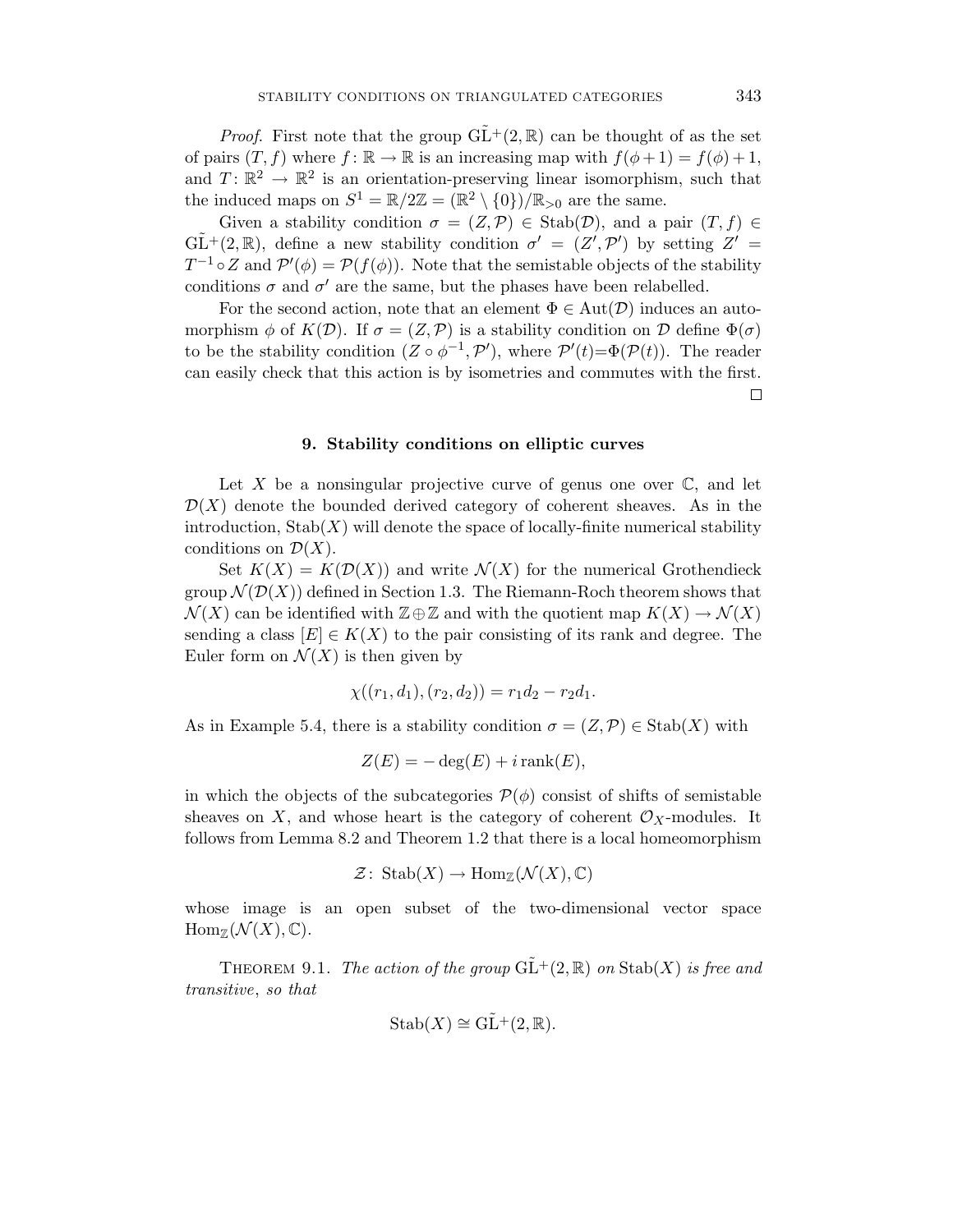*Proof.* First note that the group  $GL^+(2,\mathbb{R})$  can be thought of as the set of pairs  $(T, f)$  where  $f: \mathbb{R} \to \mathbb{R}$  is an increasing map with  $f(\phi + 1) = f(\phi) + 1$ , and  $T: \mathbb{R}^2 \to \mathbb{R}^2$  is an orientation-preserving linear isomorphism, such that the induced maps on  $S^1 = \mathbb{R}/2\mathbb{Z} = (\mathbb{R}^2 \setminus \{0\})/\mathbb{R}_{>0}$  are the same.

Given a stability condition  $\sigma = (Z, \mathcal{P}) \in \text{Stab}(\mathcal{D})$ , and a pair  $(T, f) \in$  $G\tilde{L}^+(2,\mathbb{R})$ , define a new stability condition  $\sigma' = (Z', \mathcal{P}')$  by setting  $Z' =$  $T^{-1} \circ Z$  and  $\mathcal{P}'(\phi) = \mathcal{P}(f(\phi))$ . Note that the semistable objects of the stability conditions  $\sigma$  and  $\sigma'$  are the same, but the phases have been relabelled.

For the second action, note that an element  $\Phi \in \text{Aut}(\mathcal{D})$  induces an automorphism  $\phi$  of  $K(\mathcal{D})$ . If  $\sigma = (Z, \mathcal{P})$  is a stability condition on  $\mathcal D$  define  $\Phi(\sigma)$ to be the stability condition  $(Z \circ \phi^{-1}, \mathcal{P}')$ , where  $\mathcal{P}'(t) = \Phi(\mathcal{P}(t))$ . The reader can easily check that this action is by isometries and commutes with the first. 口

# **9. Stability conditions on elliptic curves**

Let X be a nonsingular projective curve of genus one over  $\mathbb{C}$ , and let  $\mathcal{D}(X)$  denote the bounded derived category of coherent sheaves. As in the introduction,  $\text{Stab}(X)$  will denote the space of locally-finite numerical stability conditions on  $\mathcal{D}(X)$ .

Set  $K(X) = K(\mathcal{D}(X))$  and write  $\mathcal{N}(X)$  for the numerical Grothendieck group  $\mathcal{N}(\mathcal{D}(X))$  defined in Section 1.3. The Riemann-Roch theorem shows that  $\mathcal{N}(X)$  can be identified with  $\mathbb{Z}\oplus\mathbb{Z}$  and with the quotient map  $K(X)\to\mathcal{N}(X)$ sending a class  $[E] \in K(X)$  to the pair consisting of its rank and degree. The Euler form on  $\mathcal{N}(X)$  is then given by

$$
\chi((r_1, d_1), (r_2, d_2)) = r_1 d_2 - r_2 d_1.
$$

As in Example 5.4, there is a stability condition  $\sigma = (Z, \mathcal{P}) \in \text{Stab}(X)$  with

$$
Z(E) = -\deg(E) + i\operatorname{rank}(E),
$$

in which the objects of the subcategories  $\mathcal{P}(\phi)$  consist of shifts of semistable sheaves on *X*, and whose heart is the category of coherent  $\mathcal{O}_X$ -modules. It follows from Lemma 8.2 and Theorem 1.2 that there is a local homeomorphism

$$
\mathcal{Z} \colon \operatorname{Stab}(X) \to \operatorname{Hom}_{\mathbb{Z}}(\mathcal{N}(X), \mathbb{C})
$$

whose image is an open subset of the two-dimensional vector space  $\text{Hom}_{\mathbb{Z}}(\mathcal{N}(X), \mathbb{C}).$ 

THEOREM 9.1. The action of the group  $\widetilde{GL}^+(2,\mathbb{R})$  on  $\text{Stab}(X)$  is free and transitive, so that

$$
Stab(X) \cong GL^+(2,\mathbb{R}).
$$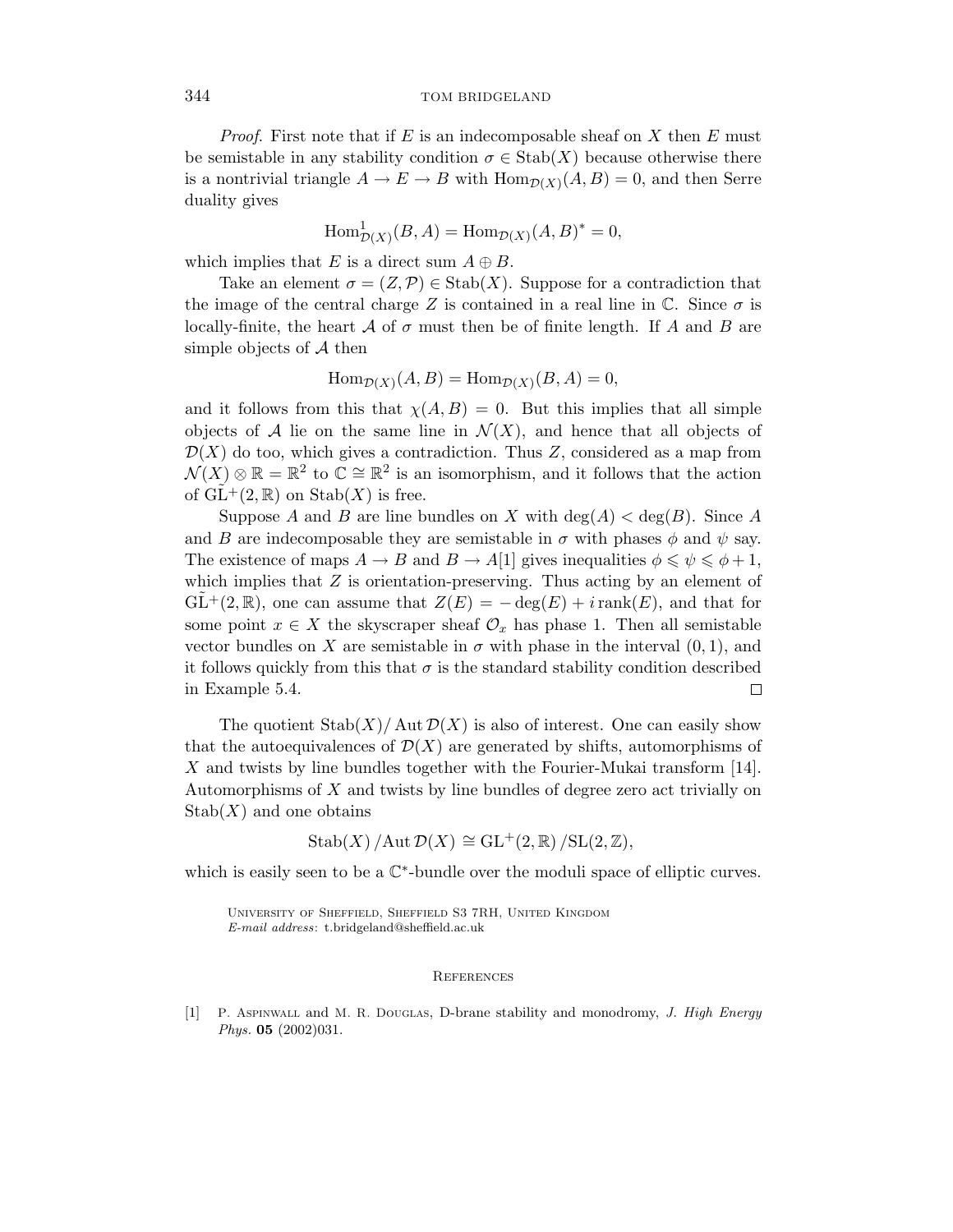Proof. First note that if *E* is an indecomposable sheaf on *X* then *E* must be semistable in any stability condition  $\sigma \in \text{Stab}(X)$  because otherwise there is a nontrivial triangle  $A \to E \to B$  with  $\text{Hom}_{\mathcal{D}(X)}(A, B) = 0$ , and then Serre duality gives

$$
\operatorname{Hom}^1_{\mathcal{D}(X)}(B, A) = \operatorname{Hom}_{\mathcal{D}(X)}(A, B)^* = 0,
$$

which implies that *E* is a direct sum  $A \oplus B$ .

Take an element  $\sigma = (Z, \mathcal{P}) \in \text{Stab}(X)$ . Suppose for a contradiction that the image of the central charge *Z* is contained in a real line in  $\mathbb{C}$ . Since  $\sigma$  is locally-finite, the heart  $\mathcal A$  of  $\sigma$  must then be of finite length. If  $\mathcal A$  and  $\mathcal B$  are simple objects of  $A$  then

$$
\operatorname{Hom}_{\mathcal{D}(X)}(A, B) = \operatorname{Hom}_{\mathcal{D}(X)}(B, A) = 0,
$$

and it follows from this that  $\chi(A, B) = 0$ . But this implies that all simple objects of A lie on the same line in  $\mathcal{N}(X)$ , and hence that all objects of  $\mathcal{D}(X)$  do too, which gives a contradiction. Thus Z, considered as a map from  $\mathcal{N}(X) \otimes \mathbb{R} = \mathbb{R}^2$  to  $\mathbb{C} \cong \mathbb{R}^2$  is an isomorphism, and it follows that the action of  $GL^+(2,\mathbb{R})$  on  $Stab(X)$  is free.

Suppose *A* and *B* are line bundles on *X* with deg(*A*)  $\lt$  deg(*B*). Since *A* and *B* are indecomposable they are semistable in  $\sigma$  with phases  $\phi$  and  $\psi$  say. The existence of maps  $A \to B$  and  $B \to A[1]$  gives inequalities  $\phi \leq \psi \leq \phi + 1$ , which implies that *Z* is orientation-preserving. Thus acting by an element of  $GL^+(2,\mathbb{R})$ , one can assume that  $Z(E) = -\deg(E) + i\operatorname{rank}(E)$ , and that for some point  $x \in X$  the skyscraper sheaf  $\mathcal{O}_x$  has phase 1. Then all semistable vector bundles on *X* are semistable in  $\sigma$  with phase in the interval  $(0, 1)$ , and it follows quickly from this that  $\sigma$  is the standard stability condition described in Example 5.4. □

The quotient  $\text{Stab}(X)/\text{Aut}\,\mathcal{D}(X)$  is also of interest. One can easily show that the autoequivalences of  $\mathcal{D}(X)$  are generated by shifts, automorphisms of *X* and twists by line bundles together with the Fourier-Mukai transform [14]. Automorphisms of *X* and twists by line bundles of degree zero act trivially on  $\mathrm{Stab}(X)$  and one obtains

$$
\operatorname{Stab}(X)/\operatorname{Aut}\mathcal{D}(X) \cong \operatorname{GL}^+(2,\mathbb{R})/\operatorname{SL}(2,\mathbb{Z}),
$$

which is easily seen to be a  $\mathbb{C}^*$ -bundle over the moduli space of elliptic curves.

University of Sheffield, Sheffield S3 7RH, United Kingdom *E-mail address*: t.bridgeland@sheffield.ac.uk

#### **REFERENCES**

[1] P. Aspinwall and M. R. Douglas, D-brane stability and monodromy, *J. High Energy Phys.* **05** (2002)031.